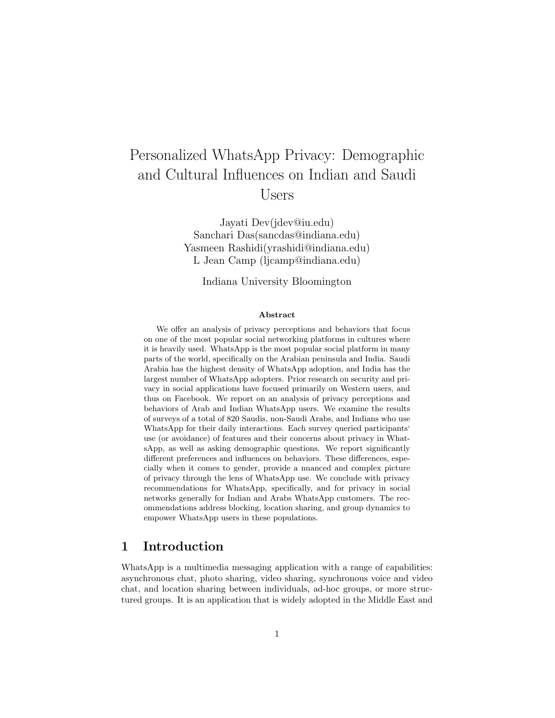# Personalized WhatsApp Privacy: Demographic and Cultural Influences on Indian and Saudi Users

Jayati Dev(jdev@iu.edu) Sanchari Das(sancdas@indiana.edu) Yasmeen Rashidi(yrashidi@indiana.edu) L Jean Camp (ljcamp@indiana.edu)

Indiana University Bloomington

### Abstract

We offer an analysis of privacy perceptions and behaviors that focus on one of the most popular social networking platforms in cultures where it is heavily used. WhatsApp is the most popular social platform in many parts of the world, specifically on the Arabian peninsula and India. Saudi Arabia has the highest density of WhatsApp adoption, and India has the largest number of WhatsApp adopters. Prior research on security and privacy in social applications have focused primarily on Western users, and thus on Facebook. We report on an analysis of privacy perceptions and behaviors of Arab and Indian WhatsApp users. We examine the results of surveys of a total of 820 Saudis, non-Saudi Arabs, and Indians who use WhatsApp for their daily interactions. Each survey queried participants' use (or avoidance) of features and their concerns about privacy in WhatsApp, as well as asking demographic questions. We report significantly different preferences and influences on behaviors. These differences, especially when it comes to gender, provide a nuanced and complex picture of privacy through the lens of WhatsApp use. We conclude with privacy recommendations for WhatsApp, specifically, and for privacy in social networks generally for Indian and Arabs WhatsApp customers. The recommendations address blocking, location sharing, and group dynamics to empower WhatsApp users in these populations.

# 1 Introduction

WhatsApp is a multimedia messaging application with a range of capabilities: asynchronous chat, photo sharing, video sharing, synchronous voice and video chat, and location sharing between individuals, ad-hoc groups, or more structured groups. It is an application that is widely adopted in the Middle East and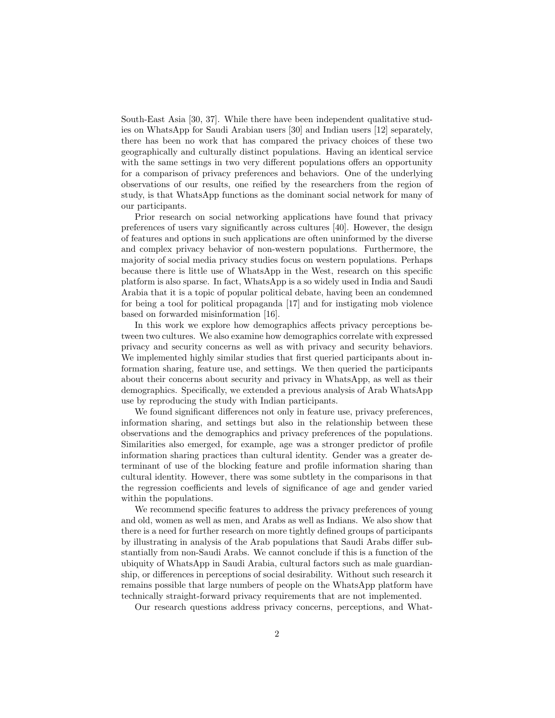South-East Asia [30, 37]. While there have been independent qualitative studies on WhatsApp for Saudi Arabian users [30] and Indian users [12] separately, there has been no work that has compared the privacy choices of these two geographically and culturally distinct populations. Having an identical service with the same settings in two very different populations offers an opportunity for a comparison of privacy preferences and behaviors. One of the underlying observations of our results, one reified by the researchers from the region of study, is that WhatsApp functions as the dominant social network for many of our participants.

Prior research on social networking applications have found that privacy preferences of users vary significantly across cultures [40]. However, the design of features and options in such applications are often uninformed by the diverse and complex privacy behavior of non-western populations. Furthermore, the majority of social media privacy studies focus on western populations. Perhaps because there is little use of WhatsApp in the West, research on this specific platform is also sparse. In fact, WhatsApp is a so widely used in India and Saudi Arabia that it is a topic of popular political debate, having been an condemned for being a tool for political propaganda [17] and for instigating mob violence based on forwarded misinformation [16].

In this work we explore how demographics affects privacy perceptions between two cultures. We also examine how demographics correlate with expressed privacy and security concerns as well as with privacy and security behaviors. We implemented highly similar studies that first queried participants about information sharing, feature use, and settings. We then queried the participants about their concerns about security and privacy in WhatsApp, as well as their demographics. Specifically, we extended a previous analysis of Arab WhatsApp use by reproducing the study with Indian participants.

We found significant differences not only in feature use, privacy preferences, information sharing, and settings but also in the relationship between these observations and the demographics and privacy preferences of the populations. Similarities also emerged, for example, age was a stronger predictor of profile information sharing practices than cultural identity. Gender was a greater determinant of use of the blocking feature and profile information sharing than cultural identity. However, there was some subtlety in the comparisons in that the regression coefficients and levels of significance of age and gender varied within the populations.

We recommend specific features to address the privacy preferences of young and old, women as well as men, and Arabs as well as Indians. We also show that there is a need for further research on more tightly defined groups of participants by illustrating in analysis of the Arab populations that Saudi Arabs differ substantially from non-Saudi Arabs. We cannot conclude if this is a function of the ubiquity of WhatsApp in Saudi Arabia, cultural factors such as male guardianship, or differences in perceptions of social desirability. Without such research it remains possible that large numbers of people on the WhatsApp platform have technically straight-forward privacy requirements that are not implemented.

Our research questions address privacy concerns, perceptions, and What-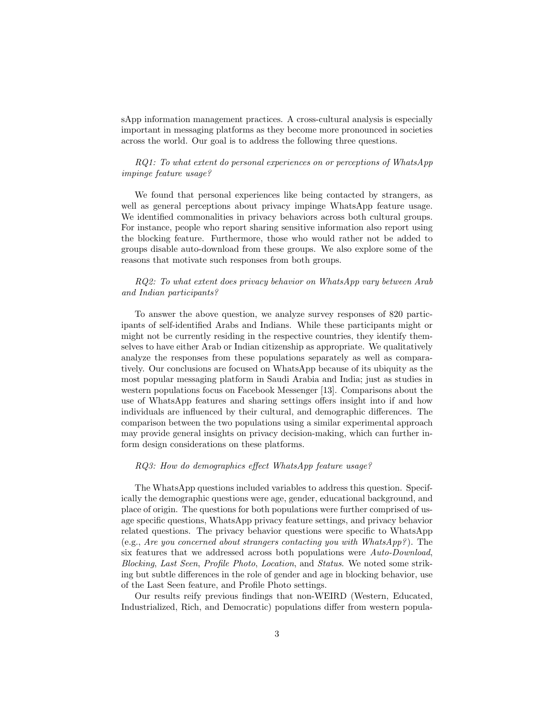sApp information management practices. A cross-cultural analysis is especially important in messaging platforms as they become more pronounced in societies across the world. Our goal is to address the following three questions.

### RQ1: To what extent do personal experiences on or perceptions of WhatsApp impinge feature usage?

We found that personal experiences like being contacted by strangers, as well as general perceptions about privacy impinge WhatsApp feature usage. We identified commonalities in privacy behaviors across both cultural groups. For instance, people who report sharing sensitive information also report using the blocking feature. Furthermore, those who would rather not be added to groups disable auto-download from these groups. We also explore some of the reasons that motivate such responses from both groups.

### RQ2: To what extent does privacy behavior on WhatsApp vary between Arab and Indian participants?

To answer the above question, we analyze survey responses of 820 participants of self-identified Arabs and Indians. While these participants might or might not be currently residing in the respective countries, they identify themselves to have either Arab or Indian citizenship as appropriate. We qualitatively analyze the responses from these populations separately as well as comparatively. Our conclusions are focused on WhatsApp because of its ubiquity as the most popular messaging platform in Saudi Arabia and India; just as studies in western populations focus on Facebook Messenger [13]. Comparisons about the use of WhatsApp features and sharing settings offers insight into if and how individuals are influenced by their cultural, and demographic differences. The comparison between the two populations using a similar experimental approach may provide general insights on privacy decision-making, which can further inform design considerations on these platforms.

### RQ3: How do demographics effect WhatsApp feature usage?

The WhatsApp questions included variables to address this question. Specifically the demographic questions were age, gender, educational background, and place of origin. The questions for both populations were further comprised of usage specific questions, WhatsApp privacy feature settings, and privacy behavior related questions. The privacy behavior questions were specific to WhatsApp (e.g., Are you concerned about strangers contacting you with WhatsApp?). The six features that we addressed across both populations were Auto-Download, Blocking, Last Seen, Profile Photo, Location, and Status. We noted some striking but subtle differences in the role of gender and age in blocking behavior, use of the Last Seen feature, and Profile Photo settings.

Our results reify previous findings that non-WEIRD (Western, Educated, Industrialized, Rich, and Democratic) populations differ from western popula-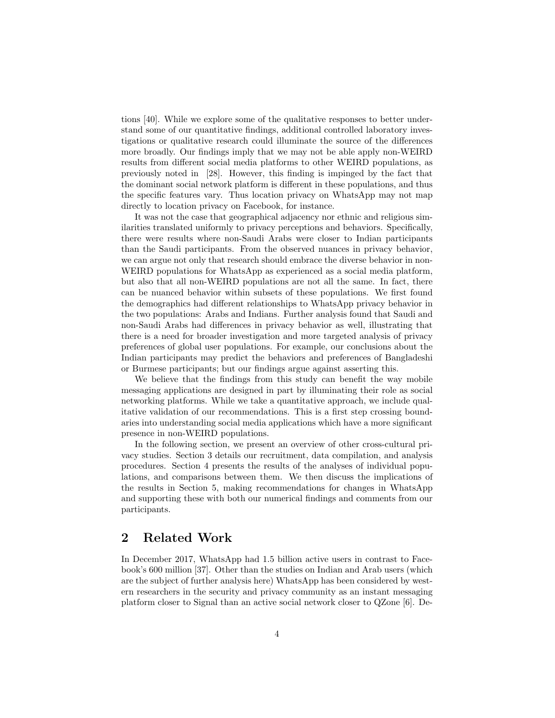tions [40]. While we explore some of the qualitative responses to better understand some of our quantitative findings, additional controlled laboratory investigations or qualitative research could illuminate the source of the differences more broadly. Our findings imply that we may not be able apply non-WEIRD results from different social media platforms to other WEIRD populations, as previously noted in [28]. However, this finding is impinged by the fact that the dominant social network platform is different in these populations, and thus the specific features vary. Thus location privacy on WhatsApp may not map directly to location privacy on Facebook, for instance.

It was not the case that geographical adjacency nor ethnic and religious similarities translated uniformly to privacy perceptions and behaviors. Specifically, there were results where non-Saudi Arabs were closer to Indian participants than the Saudi participants. From the observed nuances in privacy behavior, we can argue not only that research should embrace the diverse behavior in non-WEIRD populations for WhatsApp as experienced as a social media platform, but also that all non-WEIRD populations are not all the same. In fact, there can be nuanced behavior within subsets of these populations. We first found the demographics had different relationships to WhatsApp privacy behavior in the two populations: Arabs and Indians. Further analysis found that Saudi and non-Saudi Arabs had differences in privacy behavior as well, illustrating that there is a need for broader investigation and more targeted analysis of privacy preferences of global user populations. For example, our conclusions about the Indian participants may predict the behaviors and preferences of Bangladeshi or Burmese participants; but our findings argue against asserting this.

We believe that the findings from this study can benefit the way mobile messaging applications are designed in part by illuminating their role as social networking platforms. While we take a quantitative approach, we include qualitative validation of our recommendations. This is a first step crossing boundaries into understanding social media applications which have a more significant presence in non-WEIRD populations.

In the following section, we present an overview of other cross-cultural privacy studies. Section 3 details our recruitment, data compilation, and analysis procedures. Section 4 presents the results of the analyses of individual populations, and comparisons between them. We then discuss the implications of the results in Section 5, making recommendations for changes in WhatsApp and supporting these with both our numerical findings and comments from our participants.

# 2 Related Work

In December 2017, WhatsApp had 1.5 billion active users in contrast to Facebook's 600 million [37]. Other than the studies on Indian and Arab users (which are the subject of further analysis here) WhatsApp has been considered by western researchers in the security and privacy community as an instant messaging platform closer to Signal than an active social network closer to QZone [6]. De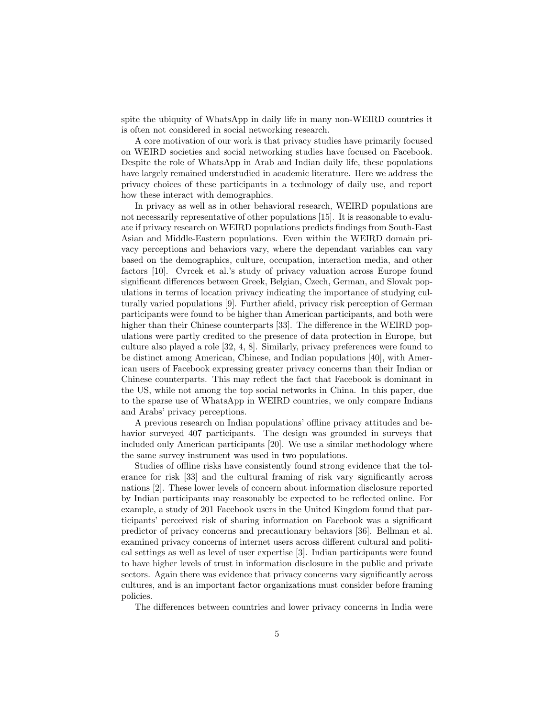spite the ubiquity of WhatsApp in daily life in many non-WEIRD countries it is often not considered in social networking research.

A core motivation of our work is that privacy studies have primarily focused on WEIRD societies and social networking studies have focused on Facebook. Despite the role of WhatsApp in Arab and Indian daily life, these populations have largely remained understudied in academic literature. Here we address the privacy choices of these participants in a technology of daily use, and report how these interact with demographics.

In privacy as well as in other behavioral research, WEIRD populations are not necessarily representative of other populations [15]. It is reasonable to evaluate if privacy research on WEIRD populations predicts findings from South-East Asian and Middle-Eastern populations. Even within the WEIRD domain privacy perceptions and behaviors vary, where the dependant variables can vary based on the demographics, culture, occupation, interaction media, and other factors [10]. Cvrcek et al.'s study of privacy valuation across Europe found significant differences between Greek, Belgian, Czech, German, and Slovak populations in terms of location privacy indicating the importance of studying culturally varied populations [9]. Further afield, privacy risk perception of German participants were found to be higher than American participants, and both were higher than their Chinese counterparts [33]. The difference in the WEIRD populations were partly credited to the presence of data protection in Europe, but culture also played a role [32, 4, 8]. Similarly, privacy preferences were found to be distinct among American, Chinese, and Indian populations [40], with American users of Facebook expressing greater privacy concerns than their Indian or Chinese counterparts. This may reflect the fact that Facebook is dominant in the US, while not among the top social networks in China. In this paper, due to the sparse use of WhatsApp in WEIRD countries, we only compare Indians and Arabs' privacy perceptions.

A previous research on Indian populations' offline privacy attitudes and behavior surveyed 407 participants. The design was grounded in surveys that included only American participants [20]. We use a similar methodology where the same survey instrument was used in two populations.

Studies of offline risks have consistently found strong evidence that the tolerance for risk [33] and the cultural framing of risk vary significantly across nations [2]. These lower levels of concern about information disclosure reported by Indian participants may reasonably be expected to be reflected online. For example, a study of 201 Facebook users in the United Kingdom found that participants' perceived risk of sharing information on Facebook was a significant predictor of privacy concerns and precautionary behaviors [36]. Bellman et al. examined privacy concerns of internet users across different cultural and political settings as well as level of user expertise [3]. Indian participants were found to have higher levels of trust in information disclosure in the public and private sectors. Again there was evidence that privacy concerns vary significantly across cultures, and is an important factor organizations must consider before framing policies.

The differences between countries and lower privacy concerns in India were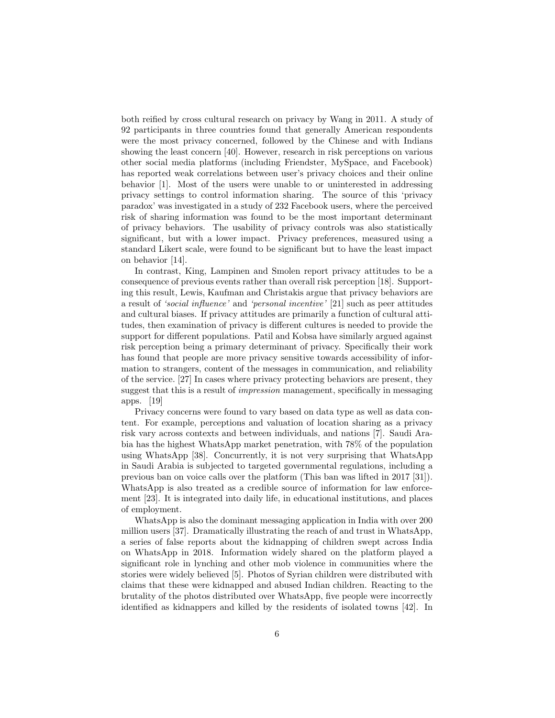both reified by cross cultural research on privacy by Wang in 2011. A study of 92 participants in three countries found that generally American respondents were the most privacy concerned, followed by the Chinese and with Indians showing the least concern [40]. However, research in risk perceptions on various other social media platforms (including Friendster, MySpace, and Facebook) has reported weak correlations between user's privacy choices and their online behavior [1]. Most of the users were unable to or uninterested in addressing privacy settings to control information sharing. The source of this 'privacy paradox' was investigated in a study of 232 Facebook users, where the perceived risk of sharing information was found to be the most important determinant of privacy behaviors. The usability of privacy controls was also statistically significant, but with a lower impact. Privacy preferences, measured using a standard Likert scale, were found to be significant but to have the least impact on behavior [14].

In contrast, King, Lampinen and Smolen report privacy attitudes to be a consequence of previous events rather than overall risk perception [18]. Supporting this result, Lewis, Kaufman and Christakis argue that privacy behaviors are a result of 'social influence' and 'personal incentive' [21] such as peer attitudes and cultural biases. If privacy attitudes are primarily a function of cultural attitudes, then examination of privacy is different cultures is needed to provide the support for different populations. Patil and Kobsa have similarly argued against risk perception being a primary determinant of privacy. Specifically their work has found that people are more privacy sensitive towards accessibility of information to strangers, content of the messages in communication, and reliability of the service. [27] In cases where privacy protecting behaviors are present, they suggest that this is a result of impression management, specifically in messaging apps. [19]

Privacy concerns were found to vary based on data type as well as data content. For example, perceptions and valuation of location sharing as a privacy risk vary across contexts and between individuals, and nations [7]. Saudi Arabia has the highest WhatsApp market penetration, with 78% of the population using WhatsApp [38]. Concurrently, it is not very surprising that WhatsApp in Saudi Arabia is subjected to targeted governmental regulations, including a previous ban on voice calls over the platform (This ban was lifted in 2017 [31]). WhatsApp is also treated as a credible source of information for law enforcement [23]. It is integrated into daily life, in educational institutions, and places of employment.

WhatsApp is also the dominant messaging application in India with over 200 million users [37]. Dramatically illustrating the reach of and trust in WhatsApp, a series of false reports about the kidnapping of children swept across India on WhatsApp in 2018. Information widely shared on the platform played a significant role in lynching and other mob violence in communities where the stories were widely believed [5]. Photos of Syrian children were distributed with claims that these were kidnapped and abused Indian children. Reacting to the brutality of the photos distributed over WhatsApp, five people were incorrectly identified as kidnappers and killed by the residents of isolated towns [42]. In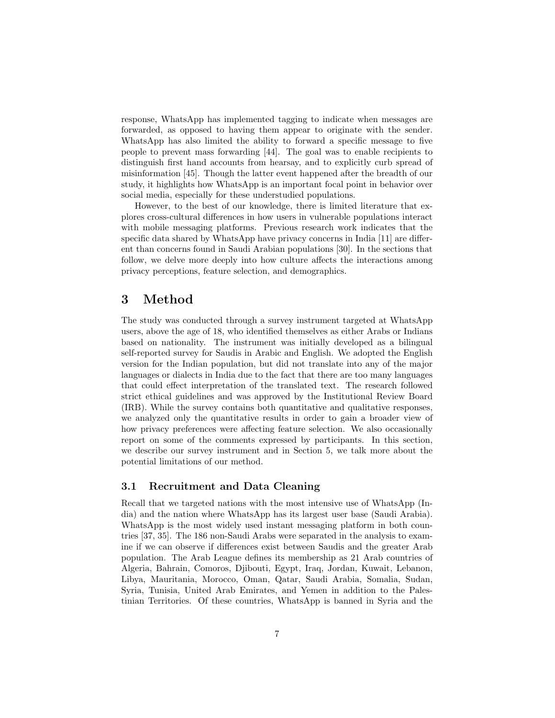response, WhatsApp has implemented tagging to indicate when messages are forwarded, as opposed to having them appear to originate with the sender. WhatsApp has also limited the ability to forward a specific message to five people to prevent mass forwarding [44]. The goal was to enable recipients to distinguish first hand accounts from hearsay, and to explicitly curb spread of misinformation [45]. Though the latter event happened after the breadth of our study, it highlights how WhatsApp is an important focal point in behavior over social media, especially for these understudied populations.

However, to the best of our knowledge, there is limited literature that explores cross-cultural differences in how users in vulnerable populations interact with mobile messaging platforms. Previous research work indicates that the specific data shared by WhatsApp have privacy concerns in India [11] are different than concerns found in Saudi Arabian populations [30]. In the sections that follow, we delve more deeply into how culture affects the interactions among privacy perceptions, feature selection, and demographics.

# 3 Method

The study was conducted through a survey instrument targeted at WhatsApp users, above the age of 18, who identified themselves as either Arabs or Indians based on nationality. The instrument was initially developed as a bilingual self-reported survey for Saudis in Arabic and English. We adopted the English version for the Indian population, but did not translate into any of the major languages or dialects in India due to the fact that there are too many languages that could effect interpretation of the translated text. The research followed strict ethical guidelines and was approved by the Institutional Review Board (IRB). While the survey contains both quantitative and qualitative responses, we analyzed only the quantitative results in order to gain a broader view of how privacy preferences were affecting feature selection. We also occasionally report on some of the comments expressed by participants. In this section, we describe our survey instrument and in Section 5, we talk more about the potential limitations of our method.

### 3.1 Recruitment and Data Cleaning

Recall that we targeted nations with the most intensive use of WhatsApp (India) and the nation where WhatsApp has its largest user base (Saudi Arabia). WhatsApp is the most widely used instant messaging platform in both countries [37, 35]. The 186 non-Saudi Arabs were separated in the analysis to examine if we can observe if differences exist between Saudis and the greater Arab population. The Arab League defines its membership as 21 Arab countries of Algeria, Bahrain, Comoros, Djibouti, Egypt, Iraq, Jordan, Kuwait, Lebanon, Libya, Mauritania, Morocco, Oman, Qatar, Saudi Arabia, Somalia, Sudan, Syria, Tunisia, United Arab Emirates, and Yemen in addition to the Palestinian Territories. Of these countries, WhatsApp is banned in Syria and the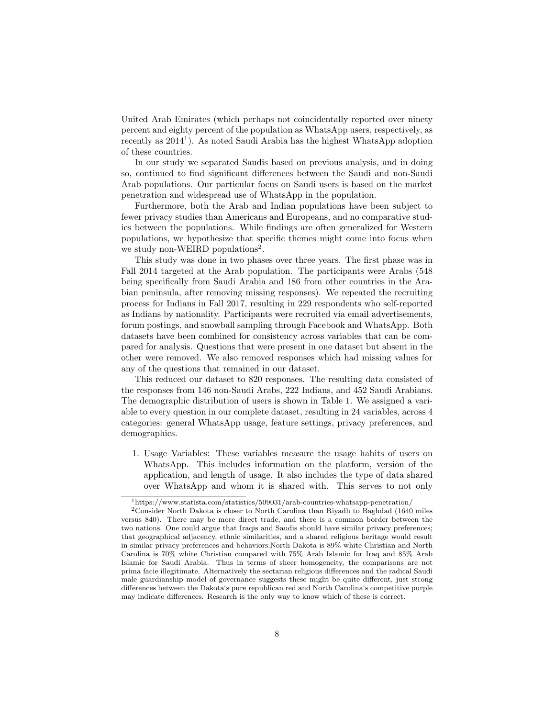United Arab Emirates (which perhaps not coincidentally reported over ninety percent and eighty percent of the population as WhatsApp users, respectively, as recently as  $2014<sup>1</sup>$ ). As noted Saudi Arabia has the highest WhatsApp adoption of these countries.

In our study we separated Saudis based on previous analysis, and in doing so, continued to find significant differences between the Saudi and non-Saudi Arab populations. Our particular focus on Saudi users is based on the market penetration and widespread use of WhatsApp in the population.

Furthermore, both the Arab and Indian populations have been subject to fewer privacy studies than Americans and Europeans, and no comparative studies between the populations. While findings are often generalized for Western populations, we hypothesize that specific themes might come into focus when we study non-WEIRD populations<sup>2</sup>.

This study was done in two phases over three years. The first phase was in Fall 2014 targeted at the Arab population. The participants were Arabs (548 being specifically from Saudi Arabia and 186 from other countries in the Arabian peninsula, after removing missing responses). We repeated the recruiting process for Indians in Fall 2017, resulting in 229 respondents who self-reported as Indians by nationality. Participants were recruited via email advertisements, forum postings, and snowball sampling through Facebook and WhatsApp. Both datasets have been combined for consistency across variables that can be compared for analysis. Questions that were present in one dataset but absent in the other were removed. We also removed responses which had missing values for any of the questions that remained in our dataset.

This reduced our dataset to 820 responses. The resulting data consisted of the responses from 146 non-Saudi Arabs, 222 Indians, and 452 Saudi Arabians. The demographic distribution of users is shown in Table 1. We assigned a variable to every question in our complete dataset, resulting in 24 variables, across 4 categories: general WhatsApp usage, feature settings, privacy preferences, and demographics.

1. Usage Variables: These variables measure the usage habits of users on WhatsApp. This includes information on the platform, version of the application, and length of usage. It also includes the type of data shared over WhatsApp and whom it is shared with. This serves to not only

<sup>1</sup>https://www.statista.com/statistics/509031/arab-countries-whatsapp-penetration/

<sup>2</sup>Consider North Dakota is closer to North Carolina than Riyadh to Baghdad (1640 miles versus 840). There may be more direct trade, and there is a common border between the two nations. One could argue that Iraqis and Saudis should have similar privacy preferences; that geographical adjacency, ethnic similarities, and a shared religious heritage would result in similar privacy preferences and behaviors.North Dakota is 89% white Christian and North Carolina is 70% white Christian compared with 75% Arab Islamic for Iraq and 85% Arab Islamic for Saudi Arabia. Thus in terms of sheer homogeneity, the comparisons are not prima facie illegitimate. Alternatively the sectarian religious differences and the radical Saudi male guardianship model of governance suggests these might be quite different, just strong differences between the Dakota's pure republican red and North Carolina's competitive purple may indicate differences. Research is the only way to know which of these is correct.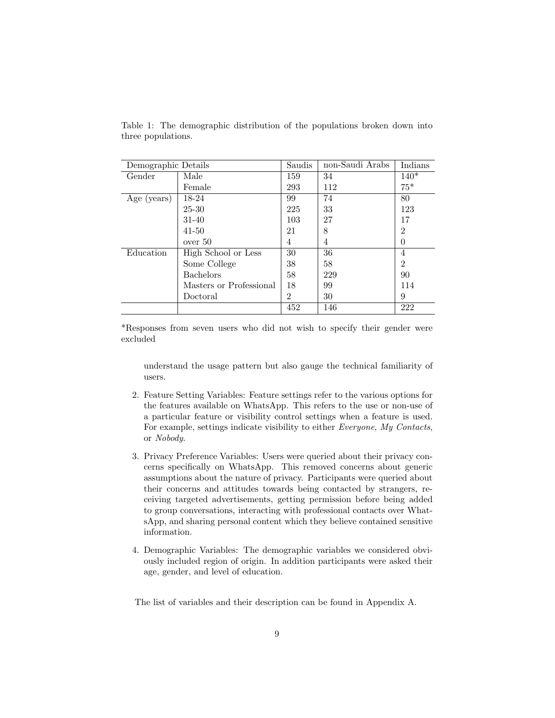| Demographic Details |                         | Saudis        | non-Saudi Arabs | Indians        |
|---------------------|-------------------------|---------------|-----------------|----------------|
| Gender              | Male                    | 159           | 34              | $140*$         |
|                     | Female                  | 293           | 112             | $75*$          |
| Age (years)         | 18-24                   | 99            | 74              | 80             |
|                     | 25-30                   | 225           | 33              | 123            |
|                     | 31-40                   | 103           | 27              | 17             |
|                     | $41 - 50$               | 21            | 8               | $\mathfrak{D}$ |
|                     | over 50                 | 4             | 4               | 0              |
| Education           | High School or Less     | 30            | 36              | 4              |
|                     | Some College            | 38            | 58              | $\overline{2}$ |
|                     | <b>Bachelors</b>        | 58            | 229             | 90             |
|                     | Masters or Professional | 18            | 99              | 114            |
|                     | Doctoral                | $\mathcal{D}$ | 30              | 9              |
|                     |                         | 452           | 146             | 222            |

Table 1: The demographic distribution of the populations broken down into three populations.

\*Responses from seven users who did not wish to specify their gender were excluded

understand the usage pattern but also gauge the technical familiarity of users.

- 2. Feature Setting Variables: Feature settings refer to the various options for the features available on WhatsApp. This refers to the use or non-use of a particular feature or visibility control settings when a feature is used. For example, settings indicate visibility to either Everyone, My Contacts, or Nobody.
- 3. Privacy Preference Variables: Users were queried about their privacy concerns specifically on WhatsApp. This removed concerns about generic assumptions about the nature of privacy. Participants were queried about their concerns and attitudes towards being contacted by strangers, receiving targeted advertisements, getting permission before being added to group conversations, interacting with professional contacts over WhatsApp, and sharing personal content which they believe contained sensitive information.
- 4. Demographic Variables: The demographic variables we considered obviously included region of origin. In addition participants were asked their age, gender, and level of education.

The list of variables and their description can be found in Appendix A.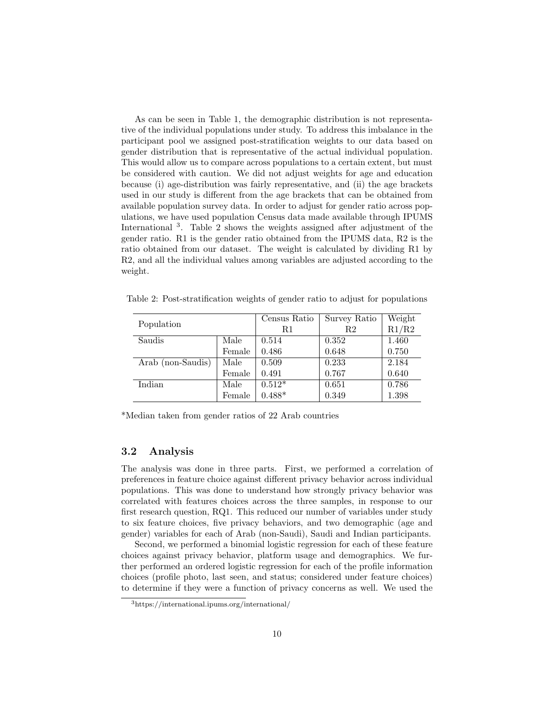As can be seen in Table 1, the demographic distribution is not representative of the individual populations under study. To address this imbalance in the participant pool we assigned post-stratification weights to our data based on gender distribution that is representative of the actual individual population. This would allow us to compare across populations to a certain extent, but must be considered with caution. We did not adjust weights for age and education because (i) age-distribution was fairly representative, and (ii) the age brackets used in our study is different from the age brackets that can be obtained from available population survey data. In order to adjust for gender ratio across populations, we have used population Census data made available through IPUMS International <sup>3</sup>. Table 2 shows the weights assigned after adjustment of the gender ratio. R1 is the gender ratio obtained from the IPUMS data, R2 is the ratio obtained from our dataset. The weight is calculated by dividing R1 by R2, and all the individual values among variables are adjusted according to the weight.

| Population        |        | Census Ratio | Survey Ratio | Weight |
|-------------------|--------|--------------|--------------|--------|
|                   |        | R1           | R2           | R1/R2  |
| Saudis            | Male   | 0.514        | 0.352        | 1.460  |
|                   | Female | 0.486        | 0.648        | 0.750  |
| Arab (non-Saudis) | Male   | 0.509        | 0.233        | 2.184  |
|                   | Female | 0.491        | 0.767        | 0.640  |
| Indian            | Male   | $0.512*$     | 0.651        | 0.786  |
|                   | Female | $0.488*$     | 0.349        | 1.398  |

Table 2: Post-stratification weights of gender ratio to adjust for populations

\*Median taken from gender ratios of 22 Arab countries

### 3.2 Analysis

The analysis was done in three parts. First, we performed a correlation of preferences in feature choice against different privacy behavior across individual populations. This was done to understand how strongly privacy behavior was correlated with features choices across the three samples, in response to our first research question, RQ1. This reduced our number of variables under study to six feature choices, five privacy behaviors, and two demographic (age and gender) variables for each of Arab (non-Saudi), Saudi and Indian participants.

Second, we performed a binomial logistic regression for each of these feature choices against privacy behavior, platform usage and demographics. We further performed an ordered logistic regression for each of the profile information choices (profile photo, last seen, and status; considered under feature choices) to determine if they were a function of privacy concerns as well. We used the

<sup>3</sup>https://international.ipums.org/international/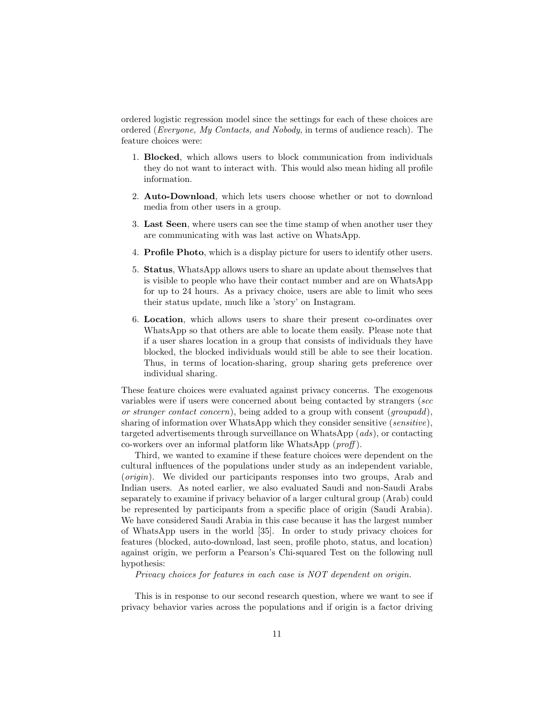ordered logistic regression model since the settings for each of these choices are ordered (Everyone, My Contacts, and Nobody, in terms of audience reach). The feature choices were:

- 1. Blocked, which allows users to block communication from individuals they do not want to interact with. This would also mean hiding all profile information.
- 2. Auto-Download, which lets users choose whether or not to download media from other users in a group.
- 3. Last Seen, where users can see the time stamp of when another user they are communicating with was last active on WhatsApp.
- 4. Profile Photo, which is a display picture for users to identify other users.
- 5. Status, WhatsApp allows users to share an update about themselves that is visible to people who have their contact number and are on WhatsApp for up to 24 hours. As a privacy choice, users are able to limit who sees their status update, much like a 'story' on Instagram.
- 6. Location, which allows users to share their present co-ordinates over WhatsApp so that others are able to locate them easily. Please note that if a user shares location in a group that consists of individuals they have blocked, the blocked individuals would still be able to see their location. Thus, in terms of location-sharing, group sharing gets preference over individual sharing.

These feature choices were evaluated against privacy concerns. The exogenous variables were if users were concerned about being contacted by strangers (scc or stranger contact concern), being added to a group with consent (groupadd), sharing of information over WhatsApp which they consider sensitive (sensitive), targeted advertisements through surveillance on WhatsApp (ads), or contacting co-workers over an informal platform like WhatsApp (proff ).

Third, we wanted to examine if these feature choices were dependent on the cultural influences of the populations under study as an independent variable, (origin). We divided our participants responses into two groups, Arab and Indian users. As noted earlier, we also evaluated Saudi and non-Saudi Arabs separately to examine if privacy behavior of a larger cultural group (Arab) could be represented by participants from a specific place of origin (Saudi Arabia). We have considered Saudi Arabia in this case because it has the largest number of WhatsApp users in the world [35]. In order to study privacy choices for features (blocked, auto-download, last seen, profile photo, status, and location) against origin, we perform a Pearson's Chi-squared Test on the following null hypothesis:

Privacy choices for features in each case is NOT dependent on origin.

This is in response to our second research question, where we want to see if privacy behavior varies across the populations and if origin is a factor driving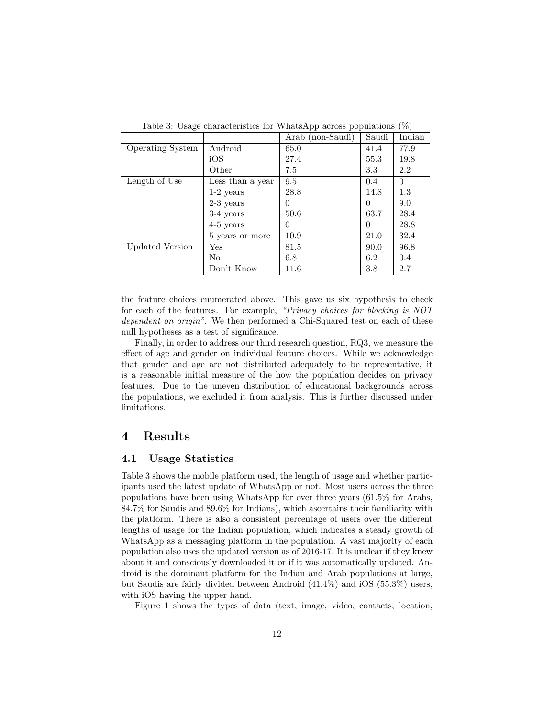|                         |                  | Arab (non-Saudi) | Saudi    | Indian   |
|-------------------------|------------------|------------------|----------|----------|
| <b>Operating System</b> | Android          | 65.0             | 41.4     | 77.9     |
|                         | iOS              | 27.4             | 55.3     | 19.8     |
|                         | Other            | 7.5              | 3.3      | 2.2      |
| Length of Use           | Less than a year | 9.5              | 0.4      | $\Omega$ |
|                         | $1-2$ years      | 28.8             | 14.8     | 1.3      |
|                         | $2-3$ years      | 0                | $\Omega$ | 9.0      |
|                         | 3-4 years        | 50.6             | 63.7     | 28.4     |
|                         | $4-5$ years      | 0                | $\Omega$ | 28.8     |
|                         | 5 years or more  | 10.9             | 21.0     | 32.4     |
| Updated Version         | Yes              | 81.5             | 90.0     | 96.8     |
|                         | No               | 6.8              | 6.2      | 0.4      |
|                         | Don't Know       | 11.6             | 3.8      | 2.7      |

Table 3: Usage characteristics for WhatsApp across populations (%)

the feature choices enumerated above. This gave us six hypothesis to check for each of the features. For example, "Privacy choices for blocking is NOT dependent on origin". We then performed a Chi-Squared test on each of these null hypotheses as a test of significance.

Finally, in order to address our third research question, RQ3, we measure the effect of age and gender on individual feature choices. While we acknowledge that gender and age are not distributed adequately to be representative, it is a reasonable initial measure of the how the population decides on privacy features. Due to the uneven distribution of educational backgrounds across the populations, we excluded it from analysis. This is further discussed under limitations.

# 4 Results

### 4.1 Usage Statistics

Table 3 shows the mobile platform used, the length of usage and whether participants used the latest update of WhatsApp or not. Most users across the three populations have been using WhatsApp for over three years (61.5% for Arabs, 84.7% for Saudis and 89.6% for Indians), which ascertains their familiarity with the platform. There is also a consistent percentage of users over the different lengths of usage for the Indian population, which indicates a steady growth of WhatsApp as a messaging platform in the population. A vast majority of each population also uses the updated version as of 2016-17, It is unclear if they knew about it and consciously downloaded it or if it was automatically updated. Android is the dominant platform for the Indian and Arab populations at large, but Saudis are fairly divided between Android (41.4%) and iOS (55.3%) users, with iOS having the upper hand.

Figure 1 shows the types of data (text, image, video, contacts, location,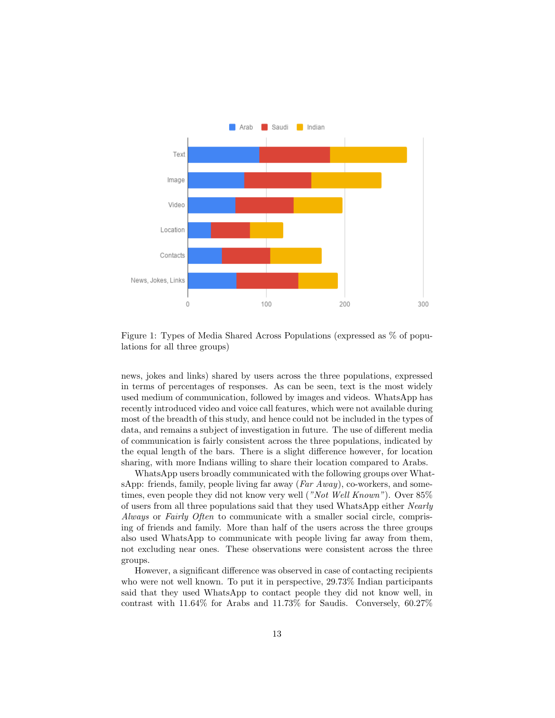

Figure 1: Types of Media Shared Across Populations (expressed as % of populations for all three groups)

news, jokes and links) shared by users across the three populations, expressed in terms of percentages of responses. As can be seen, text is the most widely used medium of communication, followed by images and videos. WhatsApp has recently introduced video and voice call features, which were not available during most of the breadth of this study, and hence could not be included in the types of data, and remains a subject of investigation in future. The use of different media of communication is fairly consistent across the three populations, indicated by the equal length of the bars. There is a slight difference however, for location sharing, with more Indians willing to share their location compared to Arabs.

WhatsApp users broadly communicated with the following groups over WhatsApp: friends, family, people living far away  $(Far Away)$ , co-workers, and sometimes, even people they did not know very well ("Not Well Known"). Over 85% of users from all three populations said that they used WhatsApp either Nearly Always or Fairly Often to communicate with a smaller social circle, comprising of friends and family. More than half of the users across the three groups also used WhatsApp to communicate with people living far away from them, not excluding near ones. These observations were consistent across the three groups.

However, a significant difference was observed in case of contacting recipients who were not well known. To put it in perspective, 29.73% Indian participants said that they used WhatsApp to contact people they did not know well, in contrast with 11.64% for Arabs and 11.73% for Saudis. Conversely, 60.27%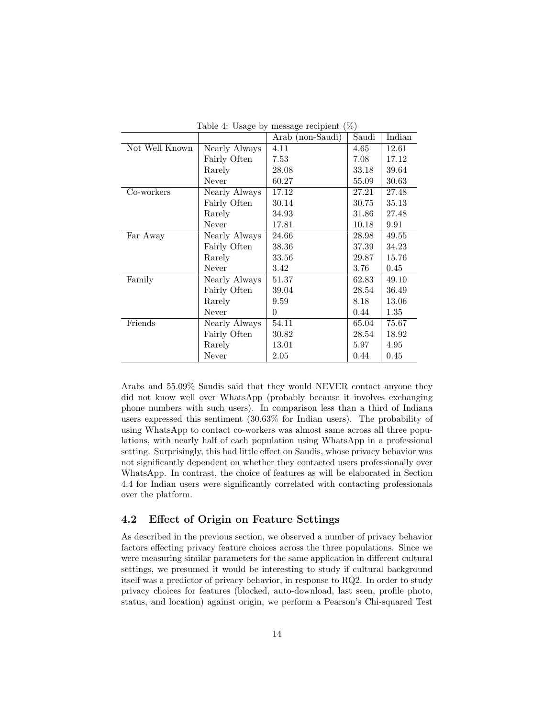| $1a$ <sub>DI</sub> C 4. Osage by Incssage recipient (70) |               |                  |          |          |  |
|----------------------------------------------------------|---------------|------------------|----------|----------|--|
|                                                          |               | Arab (non-Saudi) | Saudi    | Indian   |  |
| Not Well Known                                           | Nearly Always | 4.11             | 4.65     | 12.61    |  |
|                                                          | Fairly Often  | 7.53             | 7.08     | 17.12    |  |
|                                                          | Rarely        | 28.08            | 33.18    | 39.64    |  |
|                                                          | Never         | 60.27            | 55.09    | 30.63    |  |
| Co-workers                                               | Nearly Always | 17.12            | 27.21    | 27.48    |  |
|                                                          | Fairly Often  | 30.14            | 30.75    | 35.13    |  |
|                                                          | Rarely        | 34.93            | 31.86    | 27.48    |  |
|                                                          | Never         | 17.81            | 10.18    | 9.91     |  |
| Far Away                                                 | Nearly Always | 24.66            | 28.98    | 49.55    |  |
|                                                          | Fairly Often  | 38.36            | 37.39    | 34.23    |  |
|                                                          | Rarely        | 33.56            | 29.87    | 15.76    |  |
|                                                          | Never         | 3.42             | $3.76\,$ | $0.45\,$ |  |
| Family                                                   | Nearly Always | 51.37            | 62.83    | 49.10    |  |
|                                                          | Fairly Often  | 39.04            | 28.54    | 36.49    |  |
|                                                          | Rarely        | 9.59             | 8.18     | 13.06    |  |
|                                                          | Never         | $\theta$         | 0.44     | 1.35     |  |
| Friends                                                  | Nearly Always | 54.11            | 65.04    | 75.67    |  |
|                                                          | Fairly Often  | 30.82            | 28.54    | 18.92    |  |
|                                                          | Rarely        | 13.01            | 5.97     | 4.95     |  |
|                                                          | Never         | 2.05             | 0.44     | 0.45     |  |

Table 4: Usage by message recipient  $(\%)$ 

Arabs and 55.09% Saudis said that they would NEVER contact anyone they did not know well over WhatsApp (probably because it involves exchanging phone numbers with such users). In comparison less than a third of Indiana users expressed this sentiment (30.63% for Indian users). The probability of using WhatsApp to contact co-workers was almost same across all three populations, with nearly half of each population using WhatsApp in a professional setting. Surprisingly, this had little effect on Saudis, whose privacy behavior was not significantly dependent on whether they contacted users professionally over WhatsApp. In contrast, the choice of features as will be elaborated in Section 4.4 for Indian users were significantly correlated with contacting professionals over the platform.

### 4.2 Effect of Origin on Feature Settings

As described in the previous section, we observed a number of privacy behavior factors effecting privacy feature choices across the three populations. Since we were measuring similar parameters for the same application in different cultural settings, we presumed it would be interesting to study if cultural background itself was a predictor of privacy behavior, in response to RQ2. In order to study privacy choices for features (blocked, auto-download, last seen, profile photo, status, and location) against origin, we perform a Pearson's Chi-squared Test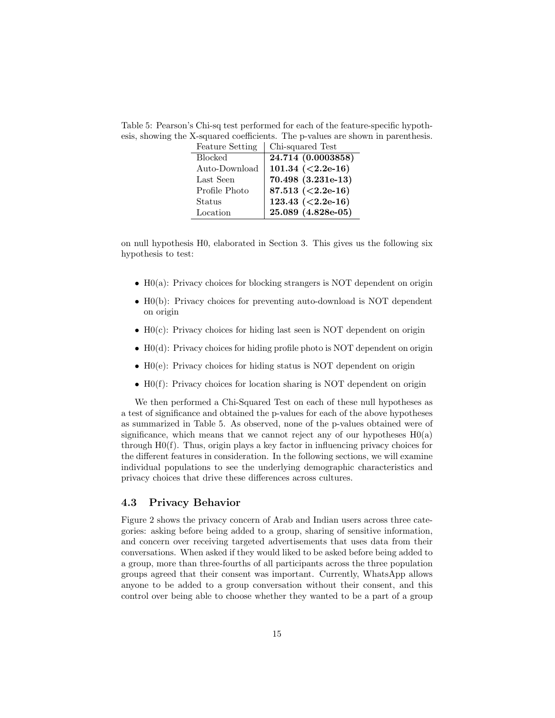Table 5: Pearson's Chi-sq test performed for each of the feature-specific hypothesis, showing the X-squared coefficients. The p-values are shown in parenthesis.

| <b>Feature Setting</b> | Chi-squared Test       |
|------------------------|------------------------|
| <b>Blocked</b>         | 24.714 (0.0003858)     |
| Auto-Download          | 101.34 $(2.2e-16)$     |
| Last Seen              | $70.498$ $(3.231e-13)$ |
| Profile Photo          | 87.513 $(2.2e-16)$     |
| Status                 | 123.43 $(2.2e-16)$     |
| Location               | 25.089 (4.828e-05)     |

on null hypothesis H0, elaborated in Section 3. This gives us the following six hypothesis to test:

- H0(a): Privacy choices for blocking strangers is NOT dependent on origin
- H0(b): Privacy choices for preventing auto-download is NOT dependent on origin
- H0(c): Privacy choices for hiding last seen is NOT dependent on origin
- H0(d): Privacy choices for hiding profile photo is NOT dependent on origin
- H0(e): Privacy choices for hiding status is NOT dependent on origin
- H0(f): Privacy choices for location sharing is NOT dependent on origin

We then performed a Chi-Squared Test on each of these null hypotheses as a test of significance and obtained the p-values for each of the above hypotheses as summarized in Table 5. As observed, none of the p-values obtained were of significance, which means that we cannot reject any of our hypotheses  $H_0(a)$ through H0(f). Thus, origin plays a key factor in influencing privacy choices for the different features in consideration. In the following sections, we will examine individual populations to see the underlying demographic characteristics and privacy choices that drive these differences across cultures.

# 4.3 Privacy Behavior

Figure 2 shows the privacy concern of Arab and Indian users across three categories: asking before being added to a group, sharing of sensitive information, and concern over receiving targeted advertisements that uses data from their conversations. When asked if they would liked to be asked before being added to a group, more than three-fourths of all participants across the three population groups agreed that their consent was important. Currently, WhatsApp allows anyone to be added to a group conversation without their consent, and this control over being able to choose whether they wanted to be a part of a group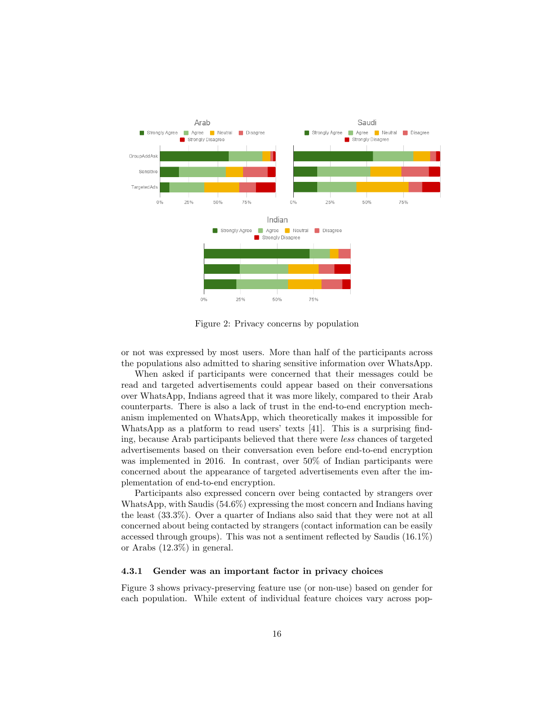

Figure 2: Privacy concerns by population

or not was expressed by most users. More than half of the participants across the populations also admitted to sharing sensitive information over WhatsApp.

When asked if participants were concerned that their messages could be read and targeted advertisements could appear based on their conversations over WhatsApp, Indians agreed that it was more likely, compared to their Arab counterparts. There is also a lack of trust in the end-to-end encryption mechanism implemented on WhatsApp, which theoretically makes it impossible for WhatsApp as a platform to read users' texts [41]. This is a surprising finding, because Arab participants believed that there were less chances of targeted advertisements based on their conversation even before end-to-end encryption was implemented in 2016. In contrast, over 50% of Indian participants were concerned about the appearance of targeted advertisements even after the implementation of end-to-end encryption.

Participants also expressed concern over being contacted by strangers over WhatsApp, with Saudis (54.6%) expressing the most concern and Indians having the least (33.3%). Over a quarter of Indians also said that they were not at all concerned about being contacted by strangers (contact information can be easily accessed through groups). This was not a sentiment reflected by Saudis (16.1%) or Arabs (12.3%) in general.

#### 4.3.1 Gender was an important factor in privacy choices

Figure 3 shows privacy-preserving feature use (or non-use) based on gender for each population. While extent of individual feature choices vary across pop-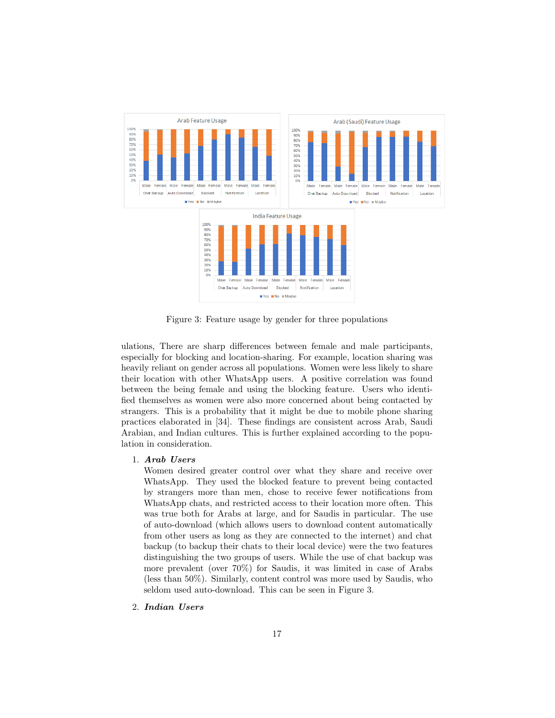

Figure 3: Feature usage by gender for three populations

ulations, There are sharp differences between female and male participants, especially for blocking and location-sharing. For example, location sharing was heavily reliant on gender across all populations. Women were less likely to share their location with other WhatsApp users. A positive correlation was found between the being female and using the blocking feature. Users who identified themselves as women were also more concerned about being contacted by strangers. This is a probability that it might be due to mobile phone sharing practices elaborated in [34]. These findings are consistent across Arab, Saudi Arabian, and Indian cultures. This is further explained according to the population in consideration.

### 1. Arab Users

Women desired greater control over what they share and receive over WhatsApp. They used the blocked feature to prevent being contacted by strangers more than men, chose to receive fewer notifications from WhatsApp chats, and restricted access to their location more often. This was true both for Arabs at large, and for Saudis in particular. The use of auto-download (which allows users to download content automatically from other users as long as they are connected to the internet) and chat backup (to backup their chats to their local device) were the two features distinguishing the two groups of users. While the use of chat backup was more prevalent (over 70%) for Saudis, it was limited in case of Arabs (less than 50%). Similarly, content control was more used by Saudis, who seldom used auto-download. This can be seen in Figure 3.

2. Indian Users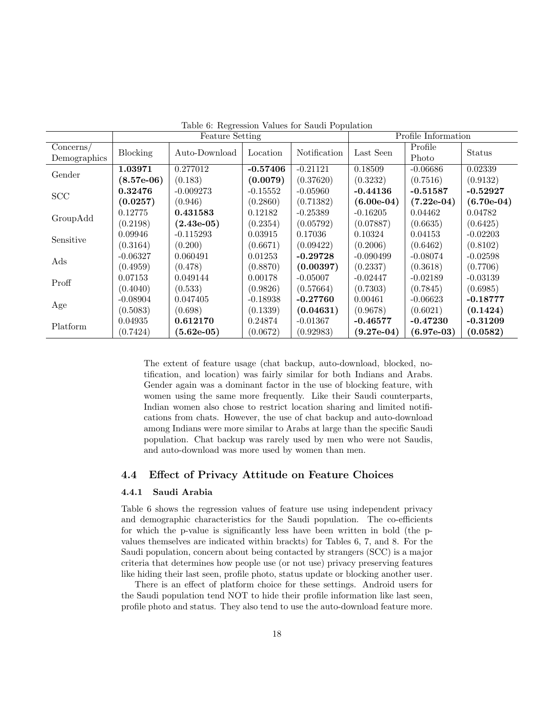|                           | <b>Feature Setting</b> |               |            |              | Profile Information            |                  |               |
|---------------------------|------------------------|---------------|------------|--------------|--------------------------------|------------------|---------------|
| Concerns/<br>Demographics | Blocking               | Auto-Download | Location   | Notification | Last Seen                      | Profile<br>Photo | <b>Status</b> |
| Gender                    | 1.03971                | 0.277012      | $-0.57406$ | $-0.21121$   | 0.18509                        | $-0.06686$       | 0.02339       |
|                           | $(8.57e-06)$           | (0.183)       | (0.0079)   | (0.37620)    | (0.3232)                       | (0.7516)         | (0.9132)      |
| SCC                       | 0.32476                | $-0.009273$   | $-0.15552$ | $-0.05960$   | $-0.44136$                     | $-0.51587$       | $-0.52927$    |
|                           | (0.0257)               | (0.946)       | (0.2860)   | (0.71382)    | $(6.00e-04)$                   | $(7.22e-04)$     | $(6.70e-04)$  |
|                           | 0.12775                | 0.431583      | 0.12182    | $-0.25389$   | $-0.16205$                     | 0.04462          | 0.04782       |
| GroupAdd                  | (0.2198)               | $(2.43e-05)$  | (0.2354)   | (0.05792)    | (0.07887)                      | (0.6635)         | (0.6425)      |
| Sensitive                 | 0.09946                | $-0.115293$   | 0.03915    | 0.17036      | 0.10324                        | 0.04153          | $-0.02203$    |
|                           | (0.3164)               | (0.200)       | (0.6671)   | (0.09422)    | (0.2006)                       | (0.6462)         | (0.8102)      |
| Ads                       | $-0.06327$             | 0.060491      | 0.01253    | $-0.29728$   | $-0.090499$                    | $-0.08074$       | $-0.02598$    |
|                           | (0.4959)               | (0.478)       | (0.8870)   | (0.00397)    | (0.2337)                       | (0.3618)         | (0.7706)      |
| Proff                     | 0.07153                | 0.049144      | 0.00178    | $-0.05007$   | $-0.02447$                     | $-0.02189$       | $-0.03139$    |
|                           | (0.4040)               | (0.533)       | (0.9826)   | (0.57664)    | (0.7303)                       | (0.7845)         | (0.6985)      |
|                           | $-0.08904$             | 0.047405      | $-0.18938$ | $-0.27760$   | 0.00461                        | $-0.06623$       | $-0.18777$    |
| Age                       | (0.5083)               | (0.698)       | (0.1339)   | (0.04631)    | (0.9678)                       | (0.6021)         | (0.1424)      |
| Platform                  | 0.04935                | 0.612170      | 0.24874    | $-0.01367$   | $-0.46577$                     | $-0.47230$       | $-0.31209$    |
|                           | (0.7424)               | $(5.62e-05)$  | (0.0672)   | (0.92983)    | $(9.27\mathrm{e}{\text{-}}04)$ | $(6.97e-03)$     | (0.0582)      |

Table 6: Regression Values for Saudi Population

The extent of feature usage (chat backup, auto-download, blocked, notification, and location) was fairly similar for both Indians and Arabs. Gender again was a dominant factor in the use of blocking feature, with women using the same more frequently. Like their Saudi counterparts, Indian women also chose to restrict location sharing and limited notifications from chats. However, the use of chat backup and auto-download among Indians were more similar to Arabs at large than the specific Saudi population. Chat backup was rarely used by men who were not Saudis, and auto-download was more used by women than men.

### 4.4 Effect of Privacy Attitude on Feature Choices

### 4.4.1 Saudi Arabia

Table 6 shows the regression values of feature use using independent privacy and demographic characteristics for the Saudi population. The co-efficients for which the p-value is significantly less have been written in bold (the pvalues themselves are indicated within brackts) for Tables 6, 7, and 8. For the Saudi population, concern about being contacted by strangers (SCC) is a major criteria that determines how people use (or not use) privacy preserving features like hiding their last seen, profile photo, status update or blocking another user.

There is an effect of platform choice for these settings. Android users for the Saudi population tend NOT to hide their profile information like last seen, profile photo and status. They also tend to use the auto-download feature more.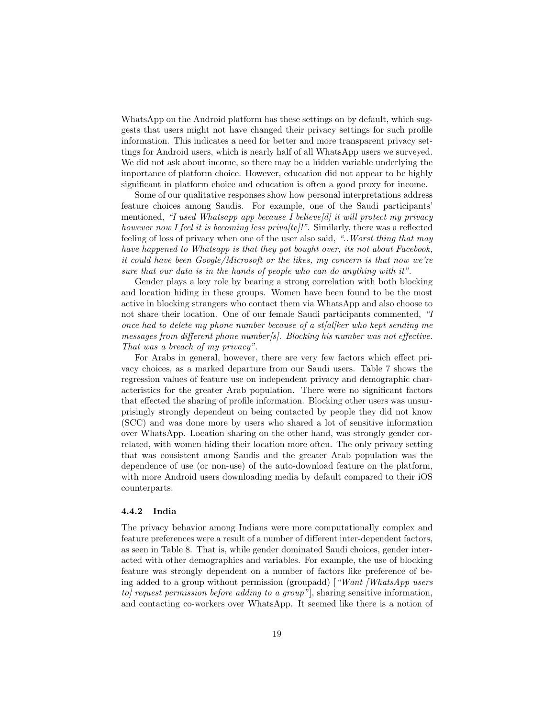WhatsApp on the Android platform has these settings on by default, which suggests that users might not have changed their privacy settings for such profile information. This indicates a need for better and more transparent privacy settings for Android users, which is nearly half of all WhatsApp users we surveyed. We did not ask about income, so there may be a hidden variable underlying the importance of platform choice. However, education did not appear to be highly significant in platform choice and education is often a good proxy for income.

Some of our qualitative responses show how personal interpretations address feature choices among Saudis. For example, one of the Saudi participants' mentioned, "I used Whatsapp app because I believe[d] it will protect my privacy however now I feel it is becoming less priva/te/!". Similarly, there was a reflected feeling of loss of privacy when one of the user also said, "..Worst thing that may have happened to Whatsapp is that they got bought over, its not about Facebook, it could have been Google/Microsoft or the likes, my concern is that now we're sure that our data is in the hands of people who can do anything with it".

Gender plays a key role by bearing a strong correlation with both blocking and location hiding in these groups. Women have been found to be the most active in blocking strangers who contact them via WhatsApp and also choose to not share their location. One of our female Saudi participants commented, "I once had to delete my phone number because of a st[al]ker who kept sending me messages from different phone number[s]. Blocking his number was not effective. That was a breach of my privacy".

For Arabs in general, however, there are very few factors which effect privacy choices, as a marked departure from our Saudi users. Table 7 shows the regression values of feature use on independent privacy and demographic characteristics for the greater Arab population. There were no significant factors that effected the sharing of profile information. Blocking other users was unsurprisingly strongly dependent on being contacted by people they did not know (SCC) and was done more by users who shared a lot of sensitive information over WhatsApp. Location sharing on the other hand, was strongly gender correlated, with women hiding their location more often. The only privacy setting that was consistent among Saudis and the greater Arab population was the dependence of use (or non-use) of the auto-download feature on the platform, with more Android users downloading media by default compared to their iOS counterparts.

#### 4.4.2 India

The privacy behavior among Indians were more computationally complex and feature preferences were a result of a number of different inter-dependent factors, as seen in Table 8. That is, while gender dominated Saudi choices, gender interacted with other demographics and variables. For example, the use of blocking feature was strongly dependent on a number of factors like preference of being added to a group without permission (groupadd) ["Want [WhatsApp users"] to] request permission before adding to a group"], sharing sensitive information, and contacting co-workers over WhatsApp. It seemed like there is a notion of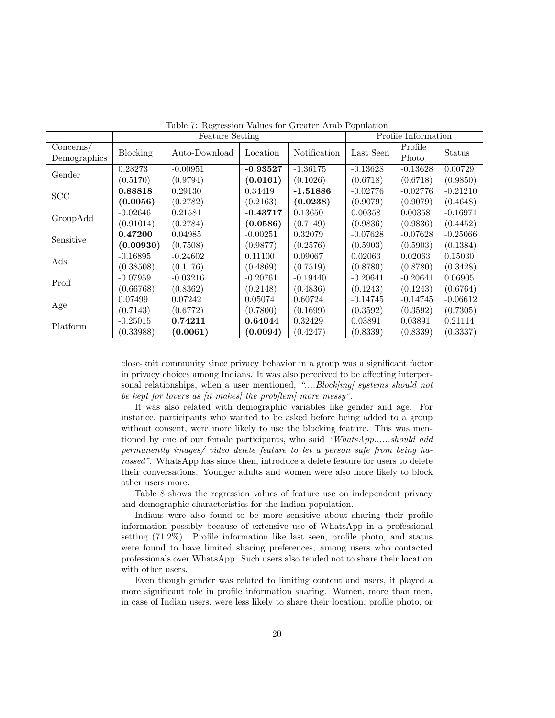|                           |                 | <b>Feature Setting</b> |            |              | Profile Information |                  |            |
|---------------------------|-----------------|------------------------|------------|--------------|---------------------|------------------|------------|
| Concerns/<br>Demographics | <b>Blocking</b> | Auto-Download          | Location   | Notification | Last Seen           | Profile<br>Photo | Status     |
| Gender                    | 0.28273         | $-0.00951$             | $-0.93527$ | $-1.36175$   | $-0.13628$          | $-0.13628$       | 0.00729    |
|                           | (0.5170)        | (0.9794)               | (0.0161)   | (0.1026)     | (0.6718)            | (0.6718)         | (0.9850)   |
| SCC                       | 0.88818         | 0.29130                | 0.34419    | $-1.51886$   | $-0.02776$          | $-0.02776$       | $-0.21210$ |
|                           | (0.0056)        | (0.2782)               | (0.2163)   | (0.0238)     | (0.9079)            | (0.9079)         | (0.4648)   |
|                           | $-0.02646$      | 0.21581                | $-0.43717$ | 0.13650      | 0.00358             | 0.00358          | $-0.16971$ |
| GroupAdd                  | (0.91014)       | (0.2784)               | (0.0586)   | (0.7149)     | (0.9836)            | (0.9836)         | (0.4452)   |
| Sensitive                 | 0.47200         | 0.04985                | $-0.00251$ | 0.32079      | $-0.07628$          | $-0.07628$       | $-0.25066$ |
|                           | (0.00930)       | (0.7508)               | (0.9877)   | (0.2576)     | (0.5903)            | (0.5903)         | (0.1384)   |
| Ads                       | $-0.16895$      | $-0.24602$             | 0.11100    | 0.09067      | 0.02063             | 0.02063          | 0.15030    |
|                           | (0.38508)       | (0.1176)               | (0.4869)   | (0.7519)     | (0.8780)            | (0.8780)         | (0.3428)   |
| Proff                     | $-0.07959$      | $-0.03216$             | $-0.20761$ | $-0.19440$   | $-0.20641$          | $-0.20641$       | 0.06905    |
|                           | (0.66768)       | (0.8362)               | (0.2148)   | (0.4836)     | (0.1243)            | (0.1243)         | (0.6764)   |
|                           | 0.07499         | 0.07242                | 0.05074    | 0.60724      | $-0.14745$          | $-0.14745$       | $-0.06612$ |
| Age                       | (0.7143)        | (0.6772)               | (0.7800)   | (0.1699)     | (0.3592)            | (0.3592)         | (0.7305)   |
| Platform                  | $-0.25015$      | 0.74211                | 0.64044    | 0.32429      | 0.03891             | 0.03891          | 0.21114    |
|                           | (0.33988)       | (0.0061)               | (0.0094)   | (0.4247)     | (0.8339)            | (0.8339)         | (0.3337)   |

Table 7: Regression Values for Greater Arab Population

close-knit community since privacy behavior in a group was a significant factor in privacy choices among Indians. It was also perceived to be affecting interpersonal relationships, when a user mentioned, "....Block[ing] systems should not be kept for lovers as *fit makes* the problem more messy".

It was also related with demographic variables like gender and age. For instance, participants who wanted to be asked before being added to a group without consent, were more likely to use the blocking feature. This was mentioned by one of our female participants, who said "WhatsApp......should add permanently images/ video delete feature to let a person safe from being harassed". WhatsApp has since then, introduce a delete feature for users to delete their conversations. Younger adults and women were also more likely to block other users more.

Table 8 shows the regression values of feature use on independent privacy and demographic characteristics for the Indian population.

Indians were also found to be more sensitive about sharing their profile information possibly because of extensive use of WhatsApp in a professional setting (71.2%). Profile information like last seen, profile photo, and status were found to have limited sharing preferences, among users who contacted professionals over WhatsApp. Such users also tended not to share their location with other users.

Even though gender was related to limiting content and users, it played a more significant role in profile information sharing. Women, more than men, in case of Indian users, were less likely to share their location, profile photo, or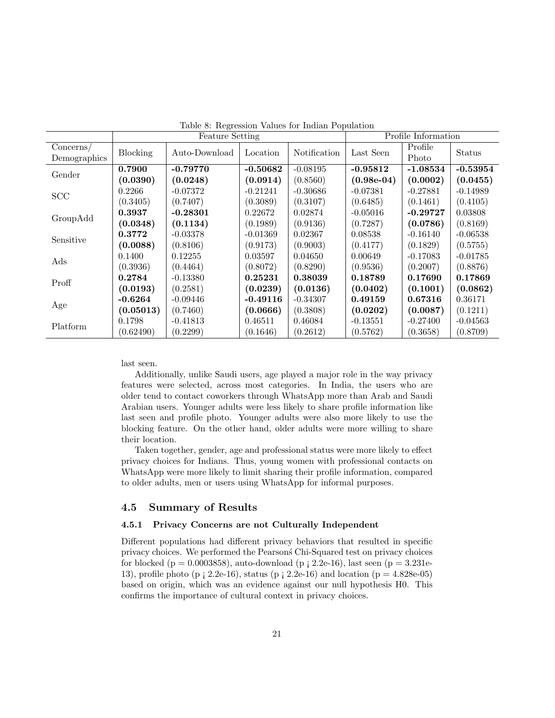|                           |                 | <b>Feature Setting</b> |            |              | Profile Information |                  |            |
|---------------------------|-----------------|------------------------|------------|--------------|---------------------|------------------|------------|
| Concerns/<br>Demographics | <b>Blocking</b> | Auto-Download          | Location   | Notification | Last Seen           | Profile<br>Photo | Status     |
| Gender                    | 0.7900          | $-0.79770$             | $-0.50682$ | $-0.08195$   | $-0.95812$          | $-1.08534$       | $-0.53954$ |
|                           | (0.0390)        | (0.0248)               | (0.0914)   | (0.8560)     | $(0.98e-04)$        | (0.0002)         | (0.0455)   |
| <b>SCC</b>                | 0.2266          | $-0.07372$             | $-0.21241$ | $-0.30686$   | $-0.07381$          | $-0.27881$       | $-0.14989$ |
|                           | (0.3405)        | (0.7407)               | (0.3089)   | (0.3107)     | (0.6485)            | (0.1461)         | (0.4105)   |
|                           | 0.3937          | $-0.28301$             | 0.22672    | 0.02874      | $-0.05016$          | $-0.29727$       | 0.03808    |
| GroupAdd                  | (0.0348)        | (0.1134)               | (0.1989)   | (0.9136)     | (0.7287)            | (0.0786)         | (0.8169)   |
| Sensitive                 | 0.3772          | $-0.03378$             | $-0.01369$ | 0.02367      | 0.08538             | $-0.16140$       | $-0.06538$ |
|                           | (0.0088)        | (0.8106)               | (0.9173)   | (0.9003)     | (0.4177)            | (0.1829)         | (0.5755)   |
| Ads                       | 0.1400          | 0.12255                | 0.03597    | 0.04650      | 0.00649             | $-0.17083$       | $-0.01785$ |
|                           | (0.3936)        | (0.4464)               | (0.8072)   | (0.8290)     | (0.9536)            | (0.2007)         | (0.8876)   |
| Proff                     | 0.2784          | $-0.13380$             | 0.25231    | 0.38039      | 0.18789             | 0.17690          | 0.17869    |
|                           | (0.0193)        | (0.2581)               | (0.0239)   | (0.0136)     | (0.0402)            | (0.1001)         | (0.0862)   |
| Age                       | $-0.6264$       | $-0.09446$             | $-0.49116$ | $-0.34307$   | 0.49159             | 0.67316          | 0.36171    |
|                           | (0.05013)       | (0.7460)               | (0.0666)   | (0.3808)     | (0.0202)            | (0.0087)         | (0.1211)   |
|                           | 0.1798          | $-0.41813$             | 0.46511    | 0.46084      | $-0.13551$          | $-0.27400$       | $-0.04563$ |
| Platform                  | (0.62490)       | (0.2299)               | (0.1646)   | (0.2612)     | (0.5762)            | (0.3658)         | (0.8709)   |

Table 8: Regression Values for Indian Population

last seen.

Additionally, unlike Saudi users, age played a major role in the way privacy features were selected, across most categories. In India, the users who are older tend to contact coworkers through WhatsApp more than Arab and Saudi Arabian users. Younger adults were less likely to share profile information like last seen and profile photo. Younger adults were also more likely to use the blocking feature. On the other hand, older adults were more willing to share their location.

Taken together, gender, age and professional status were more likely to effect privacy choices for Indians. Thus, young women with professional contacts on WhatsApp were more likely to limit sharing their profile information, compared to older adults, men or users using WhatsApp for informal purposes.

### 4.5 Summary of Results

## 4.5.1 Privacy Concerns are not Culturally Independent

Different populations had different privacy behaviors that resulted in specific privacy choices. We performed the Pearson´s Chi-Squared test on privacy choices for blocked ( $p = 0.0003858$ ), auto-download ( $p \neq 2.2e-16$ ), last seen ( $p = 3.231e-$ 13), profile photo (p  $; 2.2e-16$ ), status (p  $; 2.2e-16$ ) and location (p = 4.828e-05) based on origin, which was an evidence against our null hypothesis H0. This confirms the importance of cultural context in privacy choices.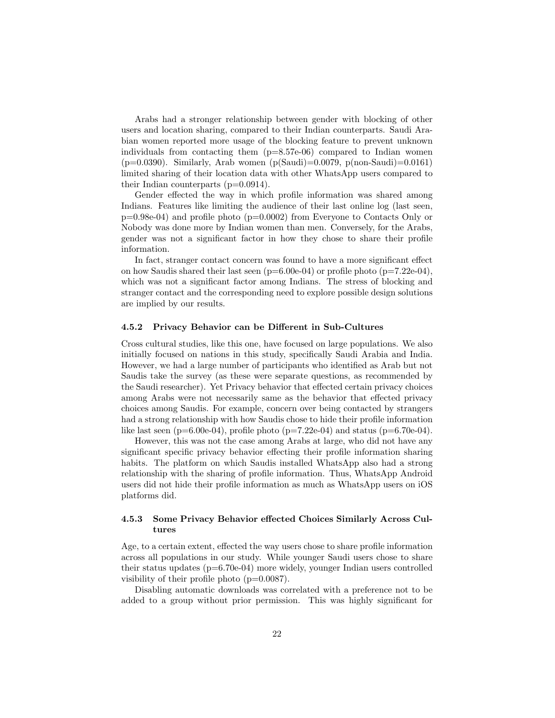Arabs had a stronger relationship between gender with blocking of other users and location sharing, compared to their Indian counterparts. Saudi Arabian women reported more usage of the blocking feature to prevent unknown individuals from contacting them  $(p=8.57e-06)$  compared to Indian women  $(p=0.0390)$ . Similarly, Arab women  $(p(Saudi)=0.0079, p(non-Saudi)=0.0161)$ limited sharing of their location data with other WhatsApp users compared to their Indian counterparts  $(p=0.0914)$ .

Gender effected the way in which profile information was shared among Indians. Features like limiting the audience of their last online log (last seen,  $p=0.98e-04$ ) and profile photo ( $p=0.0002$ ) from Everyone to Contacts Only or Nobody was done more by Indian women than men. Conversely, for the Arabs, gender was not a significant factor in how they chose to share their profile information.

In fact, stranger contact concern was found to have a more significant effect on how Saudis shared their last seen  $(p=6.00e-04)$  or profile photo  $(p=7.22e-04)$ , which was not a significant factor among Indians. The stress of blocking and stranger contact and the corresponding need to explore possible design solutions are implied by our results.

#### 4.5.2 Privacy Behavior can be Different in Sub-Cultures

Cross cultural studies, like this one, have focused on large populations. We also initially focused on nations in this study, specifically Saudi Arabia and India. However, we had a large number of participants who identified as Arab but not Saudis take the survey (as these were separate questions, as recommended by the Saudi researcher). Yet Privacy behavior that effected certain privacy choices among Arabs were not necessarily same as the behavior that effected privacy choices among Saudis. For example, concern over being contacted by strangers had a strong relationship with how Saudis chose to hide their profile information like last seen (p=6.00e-04), profile photo (p=7.22e-04) and status (p=6.70e-04).

However, this was not the case among Arabs at large, who did not have any significant specific privacy behavior effecting their profile information sharing habits. The platform on which Saudis installed WhatsApp also had a strong relationship with the sharing of profile information. Thus, WhatsApp Android users did not hide their profile information as much as WhatsApp users on iOS platforms did.

### 4.5.3 Some Privacy Behavior effected Choices Similarly Across Cultures

Age, to a certain extent, effected the way users chose to share profile information across all populations in our study. While younger Saudi users chose to share their status updates (p=6.70e-04) more widely, younger Indian users controlled visibility of their profile photo (p=0.0087).

Disabling automatic downloads was correlated with a preference not to be added to a group without prior permission. This was highly significant for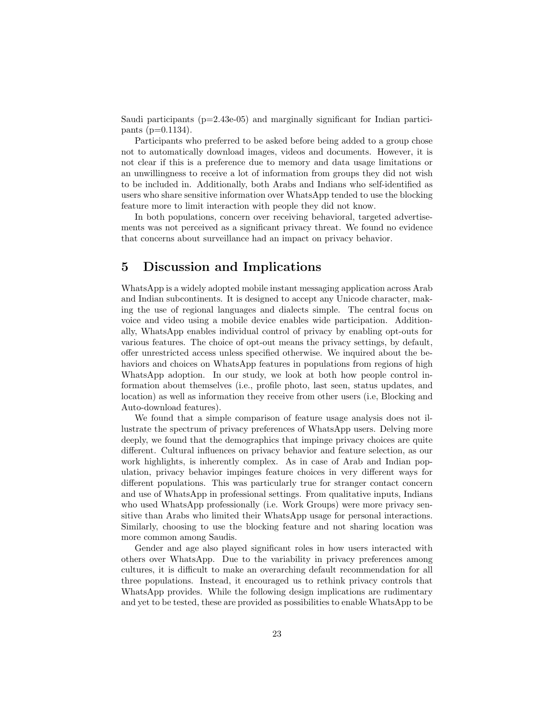Saudi participants (p=2.43e-05) and marginally significant for Indian participants (p=0.1134).

Participants who preferred to be asked before being added to a group chose not to automatically download images, videos and documents. However, it is not clear if this is a preference due to memory and data usage limitations or an unwillingness to receive a lot of information from groups they did not wish to be included in. Additionally, both Arabs and Indians who self-identified as users who share sensitive information over WhatsApp tended to use the blocking feature more to limit interaction with people they did not know.

In both populations, concern over receiving behavioral, targeted advertisements was not perceived as a significant privacy threat. We found no evidence that concerns about surveillance had an impact on privacy behavior.

# 5 Discussion and Implications

WhatsApp is a widely adopted mobile instant messaging application across Arab and Indian subcontinents. It is designed to accept any Unicode character, making the use of regional languages and dialects simple. The central focus on voice and video using a mobile device enables wide participation. Additionally, WhatsApp enables individual control of privacy by enabling opt-outs for various features. The choice of opt-out means the privacy settings, by default, offer unrestricted access unless specified otherwise. We inquired about the behaviors and choices on WhatsApp features in populations from regions of high WhatsApp adoption. In our study, we look at both how people control information about themselves (i.e., profile photo, last seen, status updates, and location) as well as information they receive from other users (i.e, Blocking and Auto-download features).

We found that a simple comparison of feature usage analysis does not illustrate the spectrum of privacy preferences of WhatsApp users. Delving more deeply, we found that the demographics that impinge privacy choices are quite different. Cultural influences on privacy behavior and feature selection, as our work highlights, is inherently complex. As in case of Arab and Indian population, privacy behavior impinges feature choices in very different ways for different populations. This was particularly true for stranger contact concern and use of WhatsApp in professional settings. From qualitative inputs, Indians who used WhatsApp professionally (i.e. Work Groups) were more privacy sensitive than Arabs who limited their WhatsApp usage for personal interactions. Similarly, choosing to use the blocking feature and not sharing location was more common among Saudis.

Gender and age also played significant roles in how users interacted with others over WhatsApp. Due to the variability in privacy preferences among cultures, it is difficult to make an overarching default recommendation for all three populations. Instead, it encouraged us to rethink privacy controls that WhatsApp provides. While the following design implications are rudimentary and yet to be tested, these are provided as possibilities to enable WhatsApp to be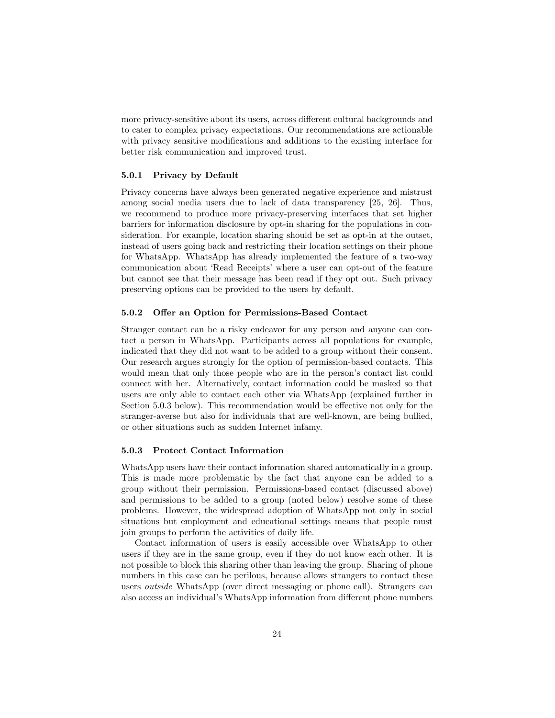more privacy-sensitive about its users, across different cultural backgrounds and to cater to complex privacy expectations. Our recommendations are actionable with privacy sensitive modifications and additions to the existing interface for better risk communication and improved trust.

### 5.0.1 Privacy by Default

Privacy concerns have always been generated negative experience and mistrust among social media users due to lack of data transparency [25, 26]. Thus, we recommend to produce more privacy-preserving interfaces that set higher barriers for information disclosure by opt-in sharing for the populations in consideration. For example, location sharing should be set as opt-in at the outset, instead of users going back and restricting their location settings on their phone for WhatsApp. WhatsApp has already implemented the feature of a two-way communication about 'Read Receipts' where a user can opt-out of the feature but cannot see that their message has been read if they opt out. Such privacy preserving options can be provided to the users by default.

### 5.0.2 Offer an Option for Permissions-Based Contact

Stranger contact can be a risky endeavor for any person and anyone can contact a person in WhatsApp. Participants across all populations for example, indicated that they did not want to be added to a group without their consent. Our research argues strongly for the option of permission-based contacts. This would mean that only those people who are in the person's contact list could connect with her. Alternatively, contact information could be masked so that users are only able to contact each other via WhatsApp (explained further in Section 5.0.3 below). This recommendation would be effective not only for the stranger-averse but also for individuals that are well-known, are being bullied, or other situations such as sudden Internet infamy.

### 5.0.3 Protect Contact Information

WhatsApp users have their contact information shared automatically in a group. This is made more problematic by the fact that anyone can be added to a group without their permission. Permissions-based contact (discussed above) and permissions to be added to a group (noted below) resolve some of these problems. However, the widespread adoption of WhatsApp not only in social situations but employment and educational settings means that people must join groups to perform the activities of daily life.

Contact information of users is easily accessible over WhatsApp to other users if they are in the same group, even if they do not know each other. It is not possible to block this sharing other than leaving the group. Sharing of phone numbers in this case can be perilous, because allows strangers to contact these users outside WhatsApp (over direct messaging or phone call). Strangers can also access an individual's WhatsApp information from different phone numbers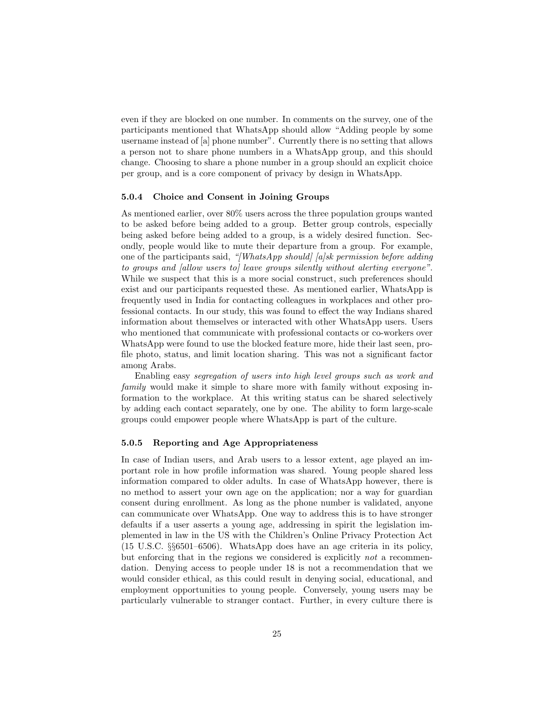even if they are blocked on one number. In comments on the survey, one of the participants mentioned that WhatsApp should allow "Adding people by some username instead of [a] phone number". Currently there is no setting that allows a person not to share phone numbers in a WhatsApp group, and this should change. Choosing to share a phone number in a group should an explicit choice per group, and is a core component of privacy by design in WhatsApp.

### 5.0.4 Choice and Consent in Joining Groups

As mentioned earlier, over 80% users across the three population groups wanted to be asked before being added to a group. Better group controls, especially being asked before being added to a group, is a widely desired function. Secondly, people would like to mute their departure from a group. For example, one of the participants said, "[WhatsApp should] [a]sk permission before adding to groups and [allow users to] leave groups silently without alerting everyone". While we suspect that this is a more social construct, such preferences should exist and our participants requested these. As mentioned earlier, WhatsApp is frequently used in India for contacting colleagues in workplaces and other professional contacts. In our study, this was found to effect the way Indians shared information about themselves or interacted with other WhatsApp users. Users who mentioned that communicate with professional contacts or co-workers over WhatsApp were found to use the blocked feature more, hide their last seen, profile photo, status, and limit location sharing. This was not a significant factor among Arabs.

Enabling easy segregation of users into high level groups such as work and family would make it simple to share more with family without exposing information to the workplace. At this writing status can be shared selectively by adding each contact separately, one by one. The ability to form large-scale groups could empower people where WhatsApp is part of the culture.

### 5.0.5 Reporting and Age Appropriateness

In case of Indian users, and Arab users to a lessor extent, age played an important role in how profile information was shared. Young people shared less information compared to older adults. In case of WhatsApp however, there is no method to assert your own age on the application; nor a way for guardian consent during enrollment. As long as the phone number is validated, anyone can communicate over WhatsApp. One way to address this is to have stronger defaults if a user asserts a young age, addressing in spirit the legislation implemented in law in the US with the Children's Online Privacy Protection Act (15 U.S.C. §§6501–6506). WhatsApp does have an age criteria in its policy, but enforcing that in the regions we considered is explicitly not a recommendation. Denying access to people under 18 is not a recommendation that we would consider ethical, as this could result in denying social, educational, and employment opportunities to young people. Conversely, young users may be particularly vulnerable to stranger contact. Further, in every culture there is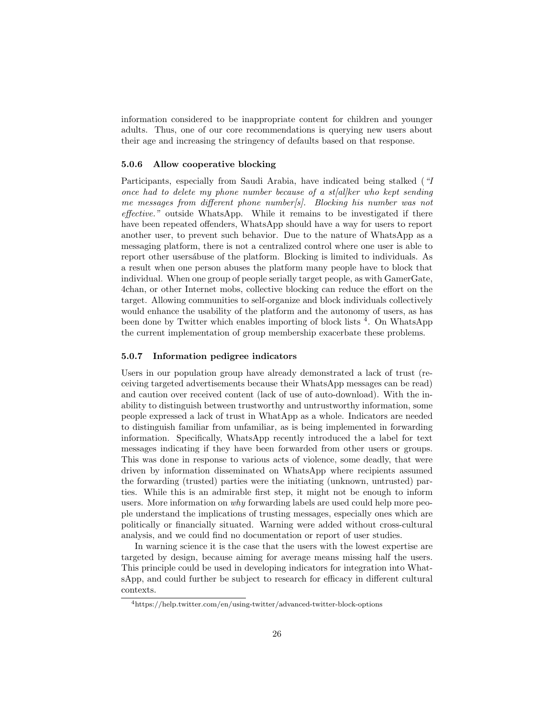information considered to be inappropriate content for children and younger adults. Thus, one of our core recommendations is querying new users about their age and increasing the stringency of defaults based on that response.

### 5.0.6 Allow cooperative blocking

Participants, especially from Saudi Arabia, have indicated being stalked ("I once had to delete my phone number because of a st $[a]$ ker who kept sending me messages from different phone number[s]. Blocking his number was not effective." outside WhatsApp. While it remains to be investigated if there have been repeated offenders, WhatsApp should have a way for users to report another user, to prevent such behavior. Due to the nature of WhatsApp as a messaging platform, there is not a centralized control where one user is able to report other users abuse of the platform. Blocking is limited to individuals. As a result when one person abuses the platform many people have to block that individual. When one group of people serially target people, as with GamerGate, 4chan, or other Internet mobs, collective blocking can reduce the effort on the target. Allowing communities to self-organize and block individuals collectively would enhance the usability of the platform and the autonomy of users, as has been done by Twitter which enables importing of block lists <sup>4</sup>. On WhatsApp the current implementation of group membership exacerbate these problems.

#### 5.0.7 Information pedigree indicators

Users in our population group have already demonstrated a lack of trust (receiving targeted advertisements because their WhatsApp messages can be read) and caution over received content (lack of use of auto-download). With the inability to distinguish between trustworthy and untrustworthy information, some people expressed a lack of trust in WhatApp as a whole. Indicators are needed to distinguish familiar from unfamiliar, as is being implemented in forwarding information. Specifically, WhatsApp recently introduced the a label for text messages indicating if they have been forwarded from other users or groups. This was done in response to various acts of violence, some deadly, that were driven by information disseminated on WhatsApp where recipients assumed the forwarding (trusted) parties were the initiating (unknown, untrusted) parties. While this is an admirable first step, it might not be enough to inform users. More information on why forwarding labels are used could help more people understand the implications of trusting messages, especially ones which are politically or financially situated. Warning were added without cross-cultural analysis, and we could find no documentation or report of user studies.

In warning science it is the case that the users with the lowest expertise are targeted by design, because aiming for average means missing half the users. This principle could be used in developing indicators for integration into WhatsApp, and could further be subject to research for efficacy in different cultural contexts.

<sup>4</sup>https://help.twitter.com/en/using-twitter/advanced-twitter-block-options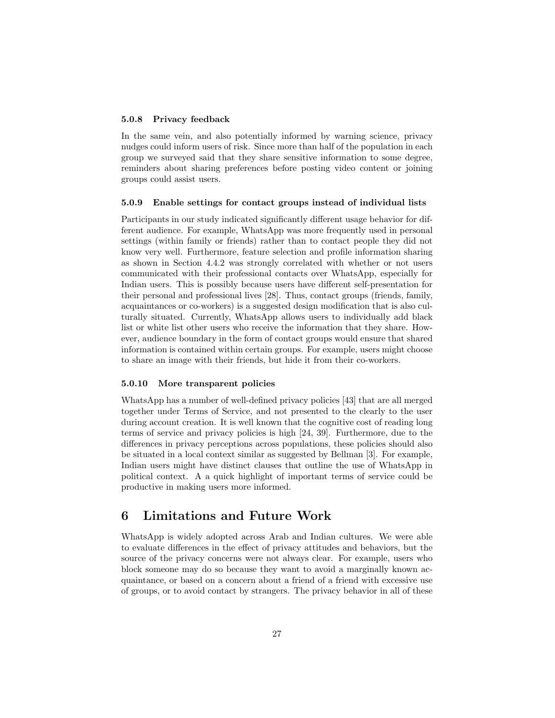### 5.0.8 Privacy feedback

In the same vein, and also potentially informed by warning science, privacy nudges could inform users of risk. Since more than half of the population in each group we surveyed said that they share sensitive information to some degree, reminders about sharing preferences before posting video content or joining groups could assist users.

#### 5.0.9 Enable settings for contact groups instead of individual lists

Participants in our study indicated significantly different usage behavior for different audience. For example, WhatsApp was more frequently used in personal settings (within family or friends) rather than to contact people they did not know very well. Furthermore, feature selection and profile information sharing as shown in Section 4.4.2 was strongly correlated with whether or not users communicated with their professional contacts over WhatsApp, especially for Indian users. This is possibly because users have different self-presentation for their personal and professional lives [28]. Thus, contact groups (friends, family, acquaintances or co-workers) is a suggested design modification that is also culturally situated. Currently, WhatsApp allows users to individually add black list or white list other users who receive the information that they share. However, audience boundary in the form of contact groups would ensure that shared information is contained within certain groups. For example, users might choose to share an image with their friends, but hide it from their co-workers.

### 5.0.10 More transparent policies

WhatsApp has a number of well-defined privacy policies [43] that are all merged together under Terms of Service, and not presented to the clearly to the user during account creation. It is well known that the cognitive cost of reading long terms of service and privacy policies is high [24, 39]. Furthermore, due to the differences in privacy perceptions across populations, these policies should also be situated in a local context similar as suggested by Bellman [3]. For example, Indian users might have distinct clauses that outline the use of WhatsApp in political context. A a quick highlight of important terms of service could be productive in making users more informed.

# 6 Limitations and Future Work

WhatsApp is widely adopted across Arab and Indian cultures. We were able to evaluate differences in the effect of privacy attitudes and behaviors, but the source of the privacy concerns were not always clear. For example, users who block someone may do so because they want to avoid a marginally known acquaintance, or based on a concern about a friend of a friend with excessive use of groups, or to avoid contact by strangers. The privacy behavior in all of these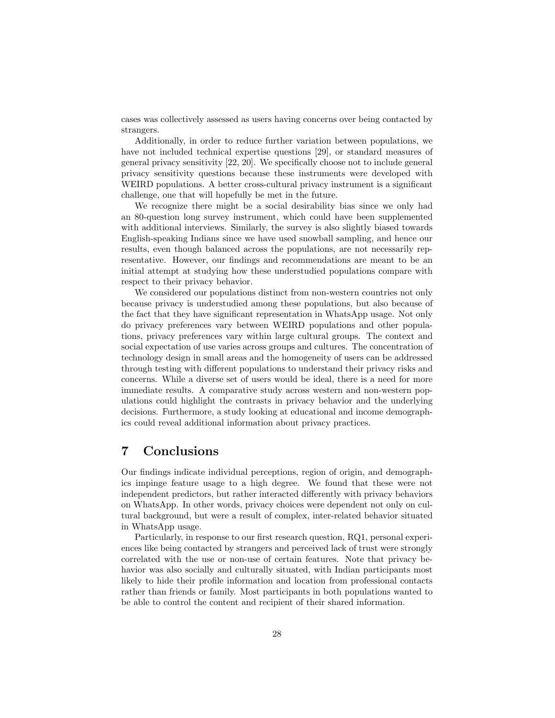cases was collectively assessed as users having concerns over being contacted by strangers.

Additionally, in order to reduce further variation between populations, we have not included technical expertise questions [29], or standard measures of general privacy sensitivity [22, 20]. We specifically choose not to include general privacy sensitivity questions because these instruments were developed with WEIRD populations. A better cross-cultural privacy instrument is a significant challenge, one that will hopefully be met in the future.

We recognize there might be a social desirability bias since we only had an 80-question long survey instrument, which could have been supplemented with additional interviews. Similarly, the survey is also slightly biased towards English-speaking Indians since we have used snowball sampling, and hence our results, even though balanced across the populations, are not necessarily representative. However, our findings and recommendations are meant to be an initial attempt at studying how these understudied populations compare with respect to their privacy behavior.

We considered our populations distinct from non-western countries not only because privacy is understudied among these populations, but also because of the fact that they have significant representation in WhatsApp usage. Not only do privacy preferences vary between WEIRD populations and other populations, privacy preferences vary within large cultural groups. The context and social expectation of use varies across groups and cultures. The concentration of technology design in small areas and the homogeneity of users can be addressed through testing with different populations to understand their privacy risks and concerns. While a diverse set of users would be ideal, there is a need for more immediate results. A comparative study across western and non-western populations could highlight the contrasts in privacy behavior and the underlying decisions. Furthermore, a study looking at educational and income demographics could reveal additional information about privacy practices.

# 7 Conclusions

Our findings indicate individual perceptions, region of origin, and demographics impinge feature usage to a high degree. We found that these were not independent predictors, but rather interacted differently with privacy behaviors on WhatsApp. In other words, privacy choices were dependent not only on cultural background, but were a result of complex, inter-related behavior situated in WhatsApp usage.

Particularly, in response to our first research question, RQ1, personal experiences like being contacted by strangers and perceived lack of trust were strongly correlated with the use or non-use of certain features. Note that privacy behavior was also socially and culturally situated, with Indian participants most likely to hide their profile information and location from professional contacts rather than friends or family. Most participants in both populations wanted to be able to control the content and recipient of their shared information.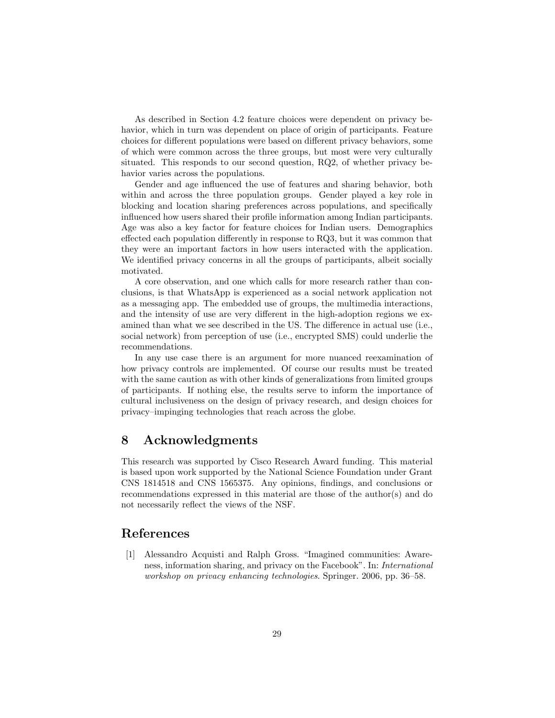As described in Section 4.2 feature choices were dependent on privacy behavior, which in turn was dependent on place of origin of participants. Feature choices for different populations were based on different privacy behaviors, some of which were common across the three groups, but most were very culturally situated. This responds to our second question, RQ2, of whether privacy behavior varies across the populations.

Gender and age influenced the use of features and sharing behavior, both within and across the three population groups. Gender played a key role in blocking and location sharing preferences across populations, and specifically influenced how users shared their profile information among Indian participants. Age was also a key factor for feature choices for Indian users. Demographics effected each population differently in response to RQ3, but it was common that they were an important factors in how users interacted with the application. We identified privacy concerns in all the groups of participants, albeit socially motivated.

A core observation, and one which calls for more research rather than conclusions, is that WhatsApp is experienced as a social network application not as a messaging app. The embedded use of groups, the multimedia interactions, and the intensity of use are very different in the high-adoption regions we examined than what we see described in the US. The difference in actual use (i.e., social network) from perception of use (i.e., encrypted SMS) could underlie the recommendations.

In any use case there is an argument for more nuanced reexamination of how privacy controls are implemented. Of course our results must be treated with the same caution as with other kinds of generalizations from limited groups of participants. If nothing else, the results serve to inform the importance of cultural inclusiveness on the design of privacy research, and design choices for privacy–impinging technologies that reach across the globe.

# 8 Acknowledgments

This research was supported by Cisco Research Award funding. This material is based upon work supported by the National Science Foundation under Grant CNS 1814518 and CNS 1565375. Any opinions, findings, and conclusions or recommendations expressed in this material are those of the author(s) and do not necessarily reflect the views of the NSF.

# References

[1] Alessandro Acquisti and Ralph Gross. "Imagined communities: Awareness, information sharing, and privacy on the Facebook". In: International workshop on privacy enhancing technologies. Springer. 2006, pp. 36–58.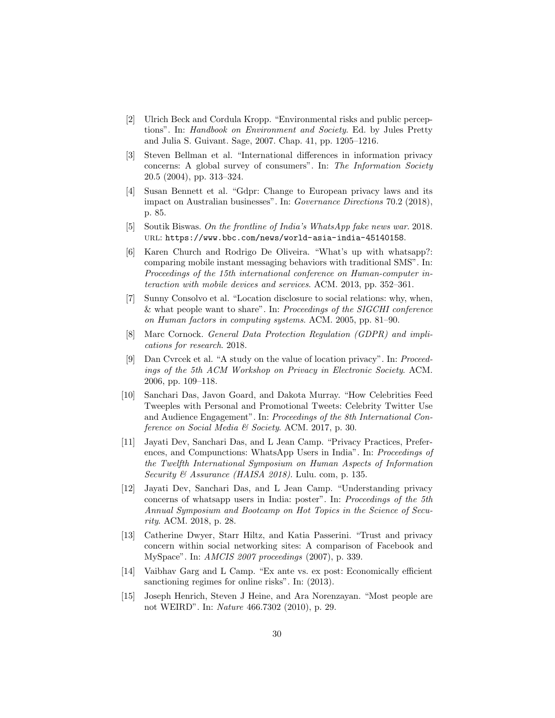- [2] Ulrich Beck and Cordula Kropp. "Environmental risks and public perceptions". In: Handbook on Environment and Society. Ed. by Jules Pretty and Julia S. Guivant. Sage, 2007. Chap. 41, pp. 1205–1216.
- [3] Steven Bellman et al. "International differences in information privacy concerns: A global survey of consumers". In: The Information Society 20.5 (2004), pp. 313–324.
- [4] Susan Bennett et al. "Gdpr: Change to European privacy laws and its impact on Australian businesses". In: Governance Directions 70.2 (2018), p. 85.
- [5] Soutik Biswas. On the frontline of India's WhatsApp fake news war. 2018. url: https://www.bbc.com/news/world-asia-india-45140158.
- [6] Karen Church and Rodrigo De Oliveira. "What's up with whatsapp?: comparing mobile instant messaging behaviors with traditional SMS". In: Proceedings of the 15th international conference on Human-computer interaction with mobile devices and services. ACM. 2013, pp. 352–361.
- [7] Sunny Consolvo et al. "Location disclosure to social relations: why, when, & what people want to share". In: Proceedings of the SIGCHI conference on Human factors in computing systems. ACM. 2005, pp. 81–90.
- [8] Marc Cornock. General Data Protection Regulation (GDPR) and implications for research. 2018.
- [9] Dan Cvrcek et al. "A study on the value of location privacy". In: Proceedings of the 5th ACM Workshop on Privacy in Electronic Society. ACM. 2006, pp. 109–118.
- [10] Sanchari Das, Javon Goard, and Dakota Murray. "How Celebrities Feed Tweeples with Personal and Promotional Tweets: Celebrity Twitter Use and Audience Engagement". In: Proceedings of the 8th International Conference on Social Media & Society. ACM. 2017, p. 30.
- [11] Jayati Dev, Sanchari Das, and L Jean Camp. "Privacy Practices, Preferences, and Compunctions: WhatsApp Users in India". In: Proceedings of the Twelfth International Symposium on Human Aspects of Information Security & Assurance (HAISA 2018). Lulu. com, p. 135.
- [12] Jayati Dev, Sanchari Das, and L Jean Camp. "Understanding privacy concerns of whatsapp users in India: poster". In: Proceedings of the 5th Annual Symposium and Bootcamp on Hot Topics in the Science of Security. ACM. 2018, p. 28.
- [13] Catherine Dwyer, Starr Hiltz, and Katia Passerini. "Trust and privacy concern within social networking sites: A comparison of Facebook and MySpace". In: AMCIS 2007 proceedings (2007), p. 339.
- [14] Vaibhav Garg and L Camp. "Ex ante vs. ex post: Economically efficient sanctioning regimes for online risks". In: (2013).
- [15] Joseph Henrich, Steven J Heine, and Ara Norenzayan. "Most people are not WEIRD". In: Nature 466.7302 (2010), p. 29.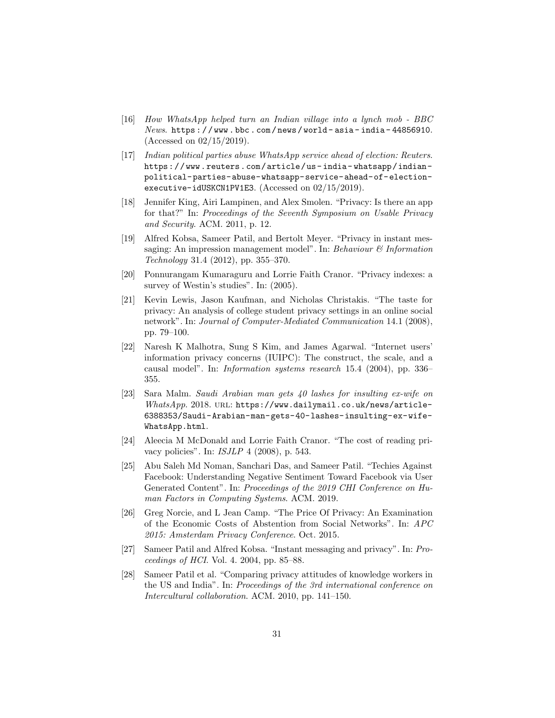- [16] How WhatsApp helped turn an Indian village into a lynch mob BBC News. https://www.bbc.com/news/world-asia-india-44856910. (Accessed on 02/15/2019).
- [17] Indian political parties abuse WhatsApp service ahead of election: Reuters. https://www.reuters.com/article/us- india- whatsapp/indianpolitical-parties-abuse-whatsapp-service-ahead-of-electionexecutive-idUSKCN1PV1E3. (Accessed on 02/15/2019).
- [18] Jennifer King, Airi Lampinen, and Alex Smolen. "Privacy: Is there an app for that?" In: Proceedings of the Seventh Symposium on Usable Privacy and Security. ACM. 2011, p. 12.
- [19] Alfred Kobsa, Sameer Patil, and Bertolt Meyer. "Privacy in instant messaging: An impression management model". In: Behaviour  $\mathcal C$  Information Technology 31.4 (2012), pp. 355–370.
- [20] Ponnurangam Kumaraguru and Lorrie Faith Cranor. "Privacy indexes: a survey of Westin's studies". In: (2005).
- [21] Kevin Lewis, Jason Kaufman, and Nicholas Christakis. "The taste for privacy: An analysis of college student privacy settings in an online social network". In: Journal of Computer-Mediated Communication 14.1 (2008), pp. 79–100.
- [22] Naresh K Malhotra, Sung S Kim, and James Agarwal. "Internet users' information privacy concerns (IUIPC): The construct, the scale, and a causal model". In: Information systems research 15.4 (2004), pp. 336– 355.
- [23] Sara Malm. Saudi Arabian man gets 40 lashes for insulting ex-wife on WhatsApp. 2018. URL: https://www.dailymail.co.uk/news/article-6388353/Saudi-Arabian-man-gets-40-lashes-insulting-ex-wife-WhatsApp.html.
- [24] Aleecia M McDonald and Lorrie Faith Cranor. "The cost of reading privacy policies". In: ISJLP 4 (2008), p. 543.
- [25] Abu Saleh Md Noman, Sanchari Das, and Sameer Patil. "Techies Against Facebook: Understanding Negative Sentiment Toward Facebook via User Generated Content". In: Proceedings of the 2019 CHI Conference on Human Factors in Computing Systems. ACM. 2019.
- [26] Greg Norcie, and L Jean Camp. "The Price Of Privacy: An Examination of the Economic Costs of Abstention from Social Networks". In: APC 2015: Amsterdam Privacy Conference. Oct. 2015.
- [27] Sameer Patil and Alfred Kobsa. "Instant messaging and privacy". In: Proceedings of HCI. Vol. 4. 2004, pp. 85–88.
- [28] Sameer Patil et al. "Comparing privacy attitudes of knowledge workers in the US and India". In: Proceedings of the 3rd international conference on Intercultural collaboration. ACM. 2010, pp. 141–150.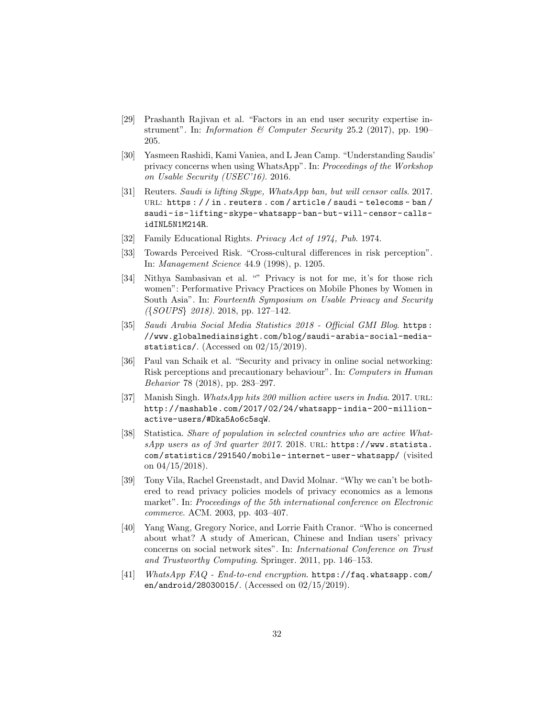- [29] Prashanth Rajivan et al. "Factors in an end user security expertise instrument". In: Information & Computer Security 25.2 (2017), pp. 190– 205.
- [30] Yasmeen Rashidi, Kami Vaniea, and L Jean Camp. "Understanding Saudis' privacy concerns when using WhatsApp". In: Proceedings of the Workshop on Usable Security (USEC'16). 2016.
- [31] Reuters. Saudi is lifting Skype, WhatsApp ban, but will censor calls. 2017. URL: https : //in.reuters.com/article/saudi-telecoms-ban/ saudi-is-lifting-skype-whatsapp-ban-but-will-censor-callsidINL5N1M214R.
- [32] Family Educational Rights. Privacy Act of 1974, Pub. 1974.
- [33] Towards Perceived Risk. "Cross-cultural differences in risk perception". In: Management Science 44.9 (1998), p. 1205.
- [34] Nithya Sambasivan et al. "" Privacy is not for me, it's for those rich women": Performative Privacy Practices on Mobile Phones by Women in South Asia". In: Fourteenth Symposium on Usable Privacy and Security ({SOUPS} 2018). 2018, pp. 127–142.
- [35] Saudi Arabia Social Media Statistics 2018 Official GMI Blog. https: //www.globalmediainsight.com/blog/saudi-arabia-social-mediastatistics/. (Accessed on  $02/15/2019$ ).
- [36] Paul van Schaik et al. "Security and privacy in online social networking: Risk perceptions and precautionary behaviour". In: Computers in Human Behavior 78 (2018), pp. 283–297.
- [37] Manish Singh. WhatsApp hits 200 million active users in India. 2017. URL: http://mashable.com/2017/02/24/whatsapp- india- 200- millionactive-users/#Dka5Ao6c5sqW.
- [38] Statistica. Share of population in selected countries who are active WhatsApp users as of 3rd quarter 2017. 2018. URL: https://www.statista. com/statistics/291540/mobile- internet- user- whatsapp/ (visited on  $04/15/2018$ .
- [39] Tony Vila, Rachel Greenstadt, and David Molnar. "Why we can't be bothered to read privacy policies models of privacy economics as a lemons market". In: Proceedings of the 5th international conference on Electronic commerce. ACM. 2003, pp. 403–407.
- [40] Yang Wang, Gregory Norice, and Lorrie Faith Cranor. "Who is concerned about what? A study of American, Chinese and Indian users' privacy concerns on social network sites". In: International Conference on Trust and Trustworthy Computing. Springer. 2011, pp. 146–153.
- [41] WhatsApp FAQ End-to-end encryption. https://faq.whatsapp.com/ en/android/28030015/. (Accessed on 02/15/2019).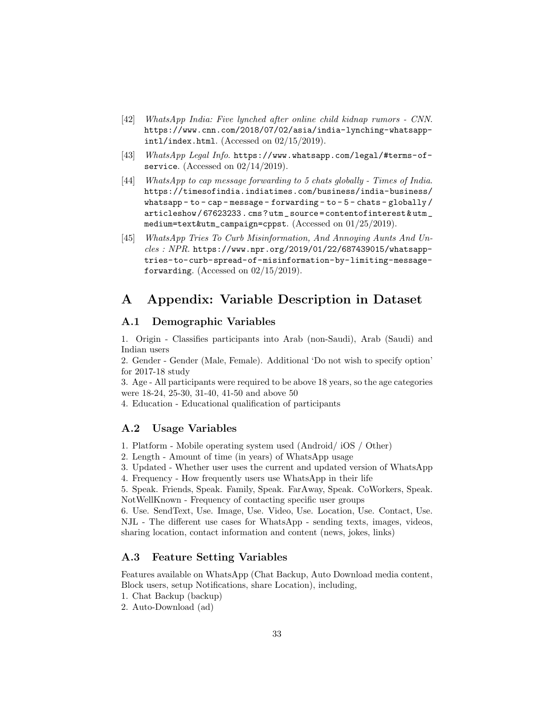- [42] WhatsApp India: Five lynched after online child kidnap rumors CNN. https://www.cnn.com/2018/07/02/asia/india-lynching-whatsappintl/index.html. (Accessed on  $02/15/2019$ ).
- [43] WhatsApp Legal Info. https://www.whatsapp.com/legal/#terms-ofservice. (Accessed on  $02/14/2019$ ).
- [44] WhatsApp to cap message forwarding to 5 chats globally Times of India. https://timesofindia.indiatimes.com/business/india-business/ whatsapp - to - cap - message - forwarding - to - 5 - chats - globally / articleshow / 67623233 . cms ? utm \_ source = contentofinterest & utm \_ medium=text&utm\_campaign=cppst. (Accessed on 01/25/2019).
- [45] WhatsApp Tries To Curb Misinformation, And Annoying Aunts And Un $cles: NPR.$ https://www.npr.org/2019/01/22/687439015/whatsapptries-to-curb-spread-of-misinformation-by-limiting-messageforwarding. (Accessed on  $02/15/2019$ ).

# A Appendix: Variable Description in Dataset

### A.1 Demographic Variables

1. Origin - Classifies participants into Arab (non-Saudi), Arab (Saudi) and Indian users

2. Gender - Gender (Male, Female). Additional 'Do not wish to specify option' for 2017-18 study

3. Age - All participants were required to be above 18 years, so the age categories were 18-24, 25-30, 31-40, 41-50 and above 50

4. Education - Educational qualification of participants

### A.2 Usage Variables

1. Platform - Mobile operating system used (Android/ iOS / Other)

2. Length - Amount of time (in years) of WhatsApp usage

3. Updated - Whether user uses the current and updated version of WhatsApp

4. Frequency - How frequently users use WhatsApp in their life

5. Speak. Friends, Speak. Family, Speak. FarAway, Speak. CoWorkers, Speak. NotWellKnown - Frequency of contacting specific user groups

6. Use. SendText, Use. Image, Use. Video, Use. Location, Use. Contact, Use. NJL - The different use cases for WhatsApp - sending texts, images, videos, sharing location, contact information and content (news, jokes, links)

# A.3 Feature Setting Variables

Features available on WhatsApp (Chat Backup, Auto Download media content, Block users, setup Notifications, share Location), including,

- 1. Chat Backup (backup)
- 2. Auto-Download (ad)